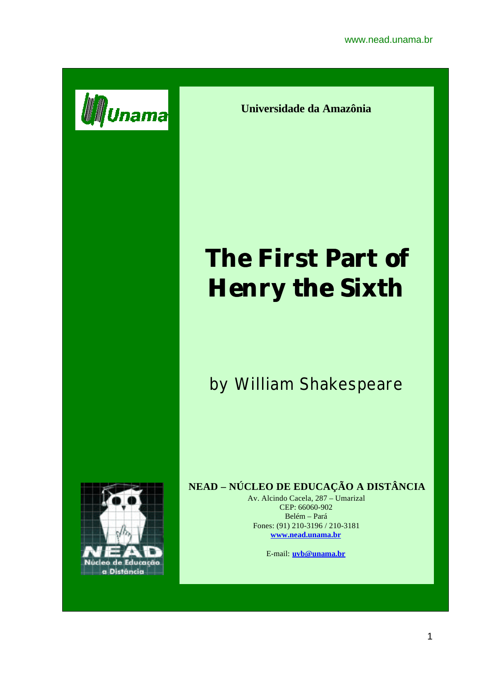

**Universidade da Amazônia**

# **The First Part of Henry the Sixth**

## by William Shakespeare



### **NEAD – NÚCLEO DE EDUCAÇÃO A DISTÂNCIA**

Av. Alcindo Cacela, 287 – Umarizal CEP: 66060-902 Belém – Pará Fones: (91) 210-3196 / 210-3181 **www.nead.unama.br**

E-mail: **uvb@unama.br**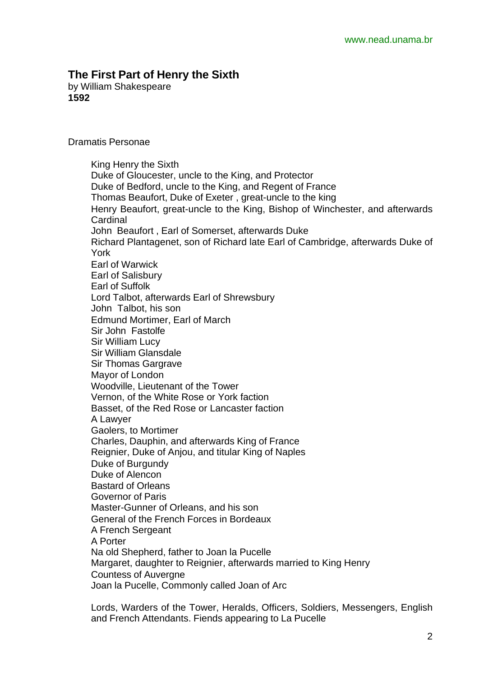#### **The First Part of Henry the Sixth**

by William Shakespeare **1592**

Dramatis Personae

King Henry the Sixth Duke of Gloucester, uncle to the King, and Protector Duke of Bedford, uncle to the King, and Regent of France Thomas Beaufort, Duke of Exeter , great-uncle to the king Henry Beaufort, great-uncle to the King, Bishop of Winchester, and afterwards **Cardinal** John Beaufort , Earl of Somerset, afterwards Duke Richard Plantagenet, son of Richard late Earl of Cambridge, afterwards Duke of York Earl of Warwick Earl of Salisbury Earl of Suffolk Lord Talbot, afterwards Earl of Shrewsbury John Talbot, his son Edmund Mortimer, Earl of March Sir John Fastolfe Sir William Lucy Sir William Glansdale Sir Thomas Gargrave Mayor of London Woodville, Lieutenant of the Tower Vernon, of the White Rose or York faction Basset, of the Red Rose or Lancaster faction A Lawyer Gaolers, to Mortimer Charles, Dauphin, and afterwards King of France Reignier, Duke of Anjou, and titular King of Naples Duke of Burgundy Duke of Alencon Bastard of Orleans Governor of Paris Master-Gunner of Orleans, and his son General of the French Forces in Bordeaux A French Sergeant A Porter Na old Shepherd, father to Joan la Pucelle Margaret, daughter to Reignier, afterwards married to King Henry Countess of Auvergne Joan la Pucelle, Commonly called Joan of Arc

Lords, Warders of the Tower, Heralds, Officers, Soldiers, Messengers, English and French Attendants. Fiends appearing to La Pucelle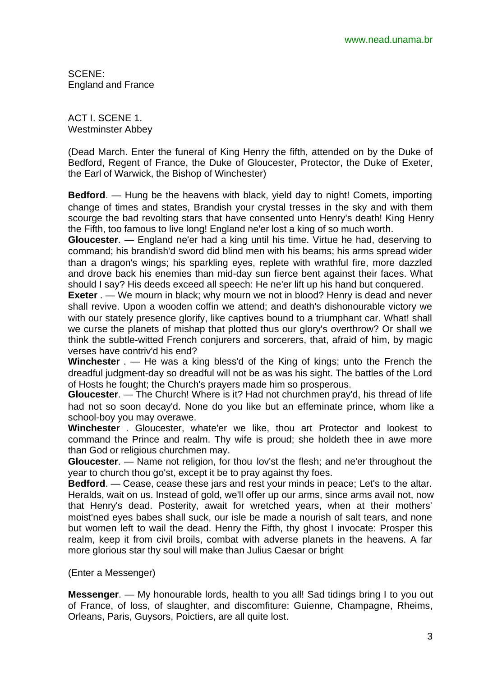SCENE: England and France

ACT I. SCENE 1. Westminster Abbey

(Dead March. Enter the funeral of King Henry the fifth, attended on by the Duke of Bedford, Regent of France, the Duke of Gloucester, Protector, the Duke of Exeter, the Earl of Warwick, the Bishop of Winchester)

**Bedford**. — Hung be the heavens with black, yield day to night! Comets, importing change of times and states, Brandish your crystal tresses in the sky and with them scourge the bad revolting stars that have consented unto Henry's death! King Henry the Fifth, too famous to live long! England ne'er lost a king of so much worth.

**Gloucester**. — England ne'er had a king until his time. Virtue he had, deserving to command; his brandish'd sword did blind men with his beams; his arms spread wider than a dragon's wings; his sparkling eyes, replete with wrathful fire, more dazzled and drove back his enemies than mid-day sun fierce bent against their faces. What should I say? His deeds exceed all speech: He ne'er lift up his hand but conquered.

**Exeter** . — We mourn in black; why mourn we not in blood? Henry is dead and never shall revive. Upon a wooden coffin we attend; and death's dishonourable victory we with our stately presence glorify, like captives bound to a triumphant car. What! shall we curse the planets of mishap that plotted thus our glory's overthrow? Or shall we think the subtle-witted French conjurers and sorcerers, that, afraid of him, by magic verses have contriv'd his end?

**Winchester** . — He was a king bless'd of the King of kings; unto the French the dreadful judgment-day so dreadful will not be as was his sight. The battles of the Lord of Hosts he fought; the Church's prayers made him so prosperous.

**Gloucester**. — The Church! Where is it? Had not churchmen pray'd, his thread of life had not so soon decay'd. None do you like but an effeminate prince, whom like a school-boy you may overawe.

**Winchester** . Gloucester, whate'er we like, thou art Protector and lookest to command the Prince and realm. Thy wife is proud; she holdeth thee in awe more than God or religious churchmen may.

**Gloucester**. — Name not religion, for thou lov'st the flesh; and ne'er throughout the year to church thou go'st, except it be to pray against thy foes.

**Bedford**. — Cease, cease these jars and rest your minds in peace; Let's to the altar. Heralds, wait on us. Instead of gold, we'll offer up our arms, since arms avail not, now that Henry's dead. Posterity, await for wretched years, when at their mothers' moist'ned eyes babes shall suck, our isle be made a nourish of salt tears, and none but women left to wail the dead. Henry the Fifth, thy ghost I invocate: Prosper this realm, keep it from civil broils, combat with adverse planets in the heavens. A far more glorious star thy soul will make than Julius Caesar or bright

(Enter a Messenger)

**Messenger**. — My honourable lords, health to you all! Sad tidings bring I to you out of France, of loss, of slaughter, and discomfiture: Guienne, Champagne, Rheims, Orleans, Paris, Guysors, Poictiers, are all quite lost.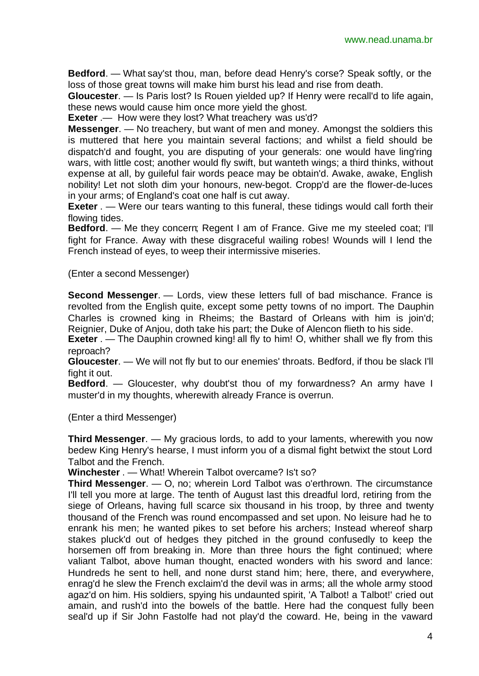**Bedford**. — What say'st thou, man, before dead Henry's corse? Speak softly, or the loss of those great towns will make him burst his lead and rise from death.

**Gloucester**. — Is Paris lost? Is Rouen yielded up? If Henry were recall'd to life again, these news would cause him once more yield the ghost.

**Exeter** .— How were they lost? What treachery was us'd?

**Messenger**. — No treachery, but want of men and money. Amongst the soldiers this is muttered that here you maintain several factions; and whilst a field should be dispatch'd and fought, you are disputing of your generals: one would have ling'ring wars, with little cost; another would fly swift, but wanteth wings; a third thinks, without expense at all, by guileful fair words peace may be obtain'd. Awake, awake, English nobility! Let not sloth dim your honours, new-begot. Cropp'd are the flower-de-luces in your arms; of England's coat one half is cut away.

**Exeter** . — Were our tears wanting to this funeral, these tidings would call forth their flowing tides.

**Bedford**. — Me they concern; Regent I am of France. Give me my steeled coat; I'll fight for France. Away with these disgraceful wailing robes! Wounds will I lend the French instead of eyes, to weep their intermissive miseries.

(Enter a second Messenger)

**Second Messenger**. — Lords, view these letters full of bad mischance. France is revolted from the English quite, except some petty towns of no import. The Dauphin Charles is crowned king in Rheims; the Bastard of Orleans with him is join'd; Reignier, Duke of Anjou, doth take his part; the Duke of Alencon flieth to his side.

**Exeter** . — The Dauphin crowned king! all fly to him! O, whither shall we fly from this reproach?

**Gloucester**. — We will not fly but to our enemies' throats. Bedford, if thou be slack I'll fight it out.

**Bedford**. — Gloucester, why doubt'st thou of my forwardness? An army have I muster'd in my thoughts, wherewith already France is overrun.

(Enter a third Messenger)

**Third Messenger**. — My gracious lords, to add to your laments, wherewith you now bedew King Henry's hearse, I must inform you of a dismal fight betwixt the stout Lord Talbot and the French.

**Winchester** . — What! Wherein Talbot overcame? Is't so?

**Third Messenger**. — O, no; wherein Lord Talbot was o'erthrown. The circumstance I'll tell you more at large. The tenth of August last this dreadful lord, retiring from the siege of Orleans, having full scarce six thousand in his troop, by three and twenty thousand of the French was round encompassed and set upon. No leisure had he to enrank his men; he wanted pikes to set before his archers; Instead whereof sharp stakes pluck'd out of hedges they pitched in the ground confusedly to keep the horsemen off from breaking in. More than three hours the fight continued; where valiant Talbot, above human thought, enacted wonders with his sword and lance: Hundreds he sent to hell, and none durst stand him; here, there, and everywhere, enrag'd he slew the French exclaim'd the devil was in arms; all the whole army stood agaz'd on him. His soldiers, spying his undaunted spirit, 'A Talbot! a Talbot!' cried out amain, and rush'd into the bowels of the battle. Here had the conquest fully been seal'd up if Sir John Fastolfe had not play'd the coward. He, being in the vaward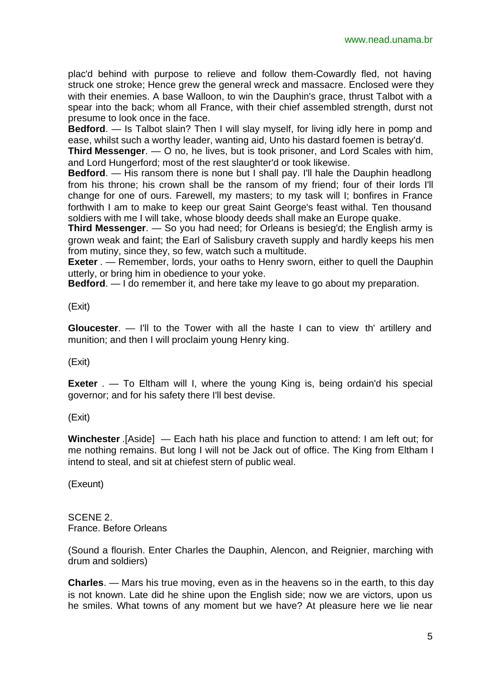plac'd behind with purpose to relieve and follow them-Cowardly fled, not having struck one stroke; Hence grew the general wreck and massacre. Enclosed were they with their enemies. A base Walloon, to win the Dauphin's grace, thrust Talbot with a spear into the back; whom all France, with their chief assembled strength, durst not presume to look once in the face.

**Bedford.** — Is Talbot slain? Then I will slay myself, for living idly here in pomp and ease, whilst such a worthy leader, wanting aid, Unto his dastard foemen is betray'd.

**Third Messenger**. — O no, he lives, but is took prisoner, and Lord Scales with him, and Lord Hungerford; most of the rest slaughter'd or took likewise.

**Bedford.** — His ransom there is none but I shall pay. I'll hale the Dauphin headlong from his throne; his crown shall be the ransom of my friend; four of their lords I'll change for one of ours. Farewell, my masters; to my task will I; bonfires in France forthwith I am to make to keep our great Saint George's feast withal. Ten thousand soldiers with me I will take, whose bloody deeds shall make an Europe quake.

**Third Messenger**. — So you had need; for Orleans is besieg'd; the English army is grown weak and faint; the Earl of Salisbury craveth supply and hardly keeps his men from mutiny, since they, so few, watch such a multitude.

**Exeter** . — Remember, lords, your oaths to Henry sworn, either to quell the Dauphin utterly, or bring him in obedience to your yoke.

**Bedford**. — I do remember it, and here take my leave to go about my preparation.

(Exit)

**Gloucester**. — I'll to the Tower with all the haste I can to view th' artillery and munition; and then I will proclaim young Henry king.

(Exit)

**Exeter** . — To Eltham will I, where the young King is, being ordain'd his special governor; and for his safety there I'll best devise.

(Exit)

**Winchester** .[Aside] — Each hath his place and function to attend: I am left out; for me nothing remains. But long I will not be Jack out of office. The King from Eltham I intend to steal, and sit at chiefest stern of public weal.

(Exeunt)

SCENE 2. France. Before Orleans

(Sound a flourish. Enter Charles the Dauphin, Alencon, and Reignier, marching with drum and soldiers)

**Charles**. — Mars his true moving, even as in the heavens so in the earth, to this day is not known. Late did he shine upon the English side; now we are victors, upon us he smiles. What towns of any moment but we have? At pleasure here we lie near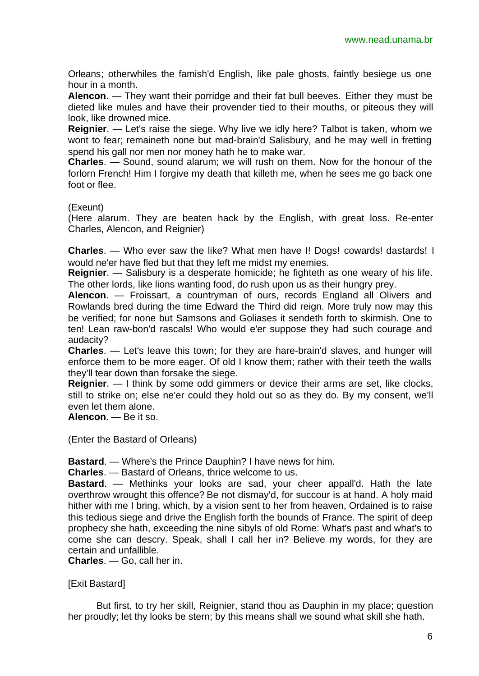Orleans; otherwhiles the famish'd English, like pale ghosts, faintly besiege us one hour in a month.

**Alencon**. — They want their porridge and their fat bull beeves. Either they must be dieted like mules and have their provender tied to their mouths, or piteous they will look, like drowned mice.

**Reignier**. — Let's raise the siege. Why live we idly here? Talbot is taken, whom we wont to fear; remaineth none but mad-brain'd Salisbury, and he may well in fretting spend his gall nor men nor money hath he to make war.

**Charles**. — Sound, sound alarum; we will rush on them. Now for the honour of the forlorn French! Him I forgive my death that killeth me, when he sees me go back one foot or flee.

(Exeunt)

(Here alarum. They are beaten hack by the English, with great loss. Re-enter Charles, Alencon, and Reignier)

**Charles**. — Who ever saw the like? What men have I! Dogs! cowards! dastards! I would ne'er have fled but that they left me midst my enemies.

**Reignier**. — Salisbury is a desperate homicide; he fighteth as one weary of his life. The other lords, like lions wanting food, do rush upon us as their hungry prey.

**Alencon**. — Froissart, a countryman of ours, records England all Olivers and Rowlands bred during the time Edward the Third did reign. More truly now may this be verified; for none but Samsons and Goliases it sendeth forth to skirmish. One to ten! Lean raw-bon'd rascals! Who would e'er suppose they had such courage and audacity?

**Charles**. — Let's leave this town; for they are hare-brain'd slaves, and hunger will enforce them to be more eager. Of old I know them; rather with their teeth the walls they'll tear down than forsake the siege.

**Reignier**. — I think by some odd gimmers or device their arms are set, like clocks, still to strike on; else ne'er could they hold out so as they do. By my consent, we'll even let them alone.

**Alencon**. — Be it so.

(Enter the Bastard of Orleans)

**Bastard**. — Where's the Prince Dauphin? I have news for him.

**Charles**. — Bastard of Orleans, thrice welcome to us.

**Bastard**. — Methinks your looks are sad, your cheer appall'd. Hath the late overthrow wrought this offence? Be not dismay'd, for succour is at hand. A holy maid hither with me I bring, which, by a vision sent to her from heaven, Ordained is to raise this tedious siege and drive the English forth the bounds of France. The spirit of deep prophecy she hath, exceeding the nine sibyls of old Rome: What's past and what's to come she can descry. Speak, shall I call her in? Believe my words, for they are certain and unfallible.

**Charles**. — Go, call her in.

[Exit Bastard]

But first, to try her skill, Reignier, stand thou as Dauphin in my place; question her proudly; let thy looks be stern; by this means shall we sound what skill she hath.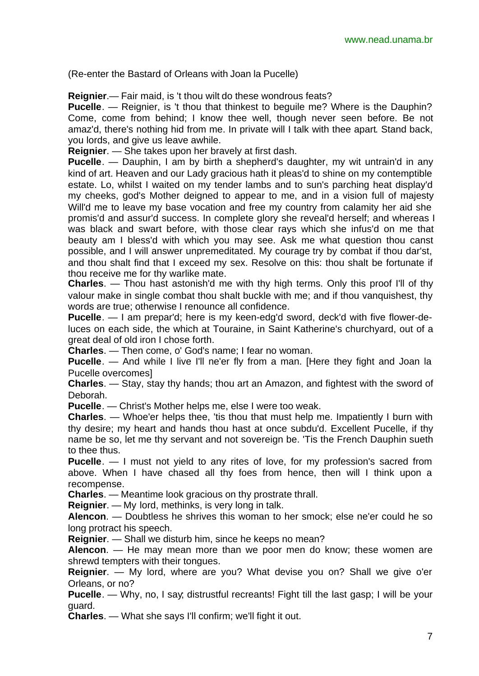(Re-enter the Bastard of Orleans with Joan la Pucelle)

**Reignier**.— Fair maid, is 't thou wilt do these wondrous feats?

**Pucelle**. — Reignier, is 't thou that thinkest to beguile me? Where is the Dauphin? Come, come from behind; I know thee well, though never seen before. Be not amaz'd, there's nothing hid from me. In private will I talk with thee apart. Stand back, you lords, and give us leave awhile.

**Reignier**. — She takes upon her bravely at first dash.

**Pucelle**. — Dauphin, I am by birth a shepherd's daughter, my wit untrain'd in any kind of art. Heaven and our Lady gracious hath it pleas'd to shine on my contemptible estate. Lo, whilst I waited on my tender lambs and to sun's parching heat display'd my cheeks, god's Mother deigned to appear to me, and in a vision full of majesty Will'd me to leave my base vocation and free my country from calamity her aid she promis'd and assur'd success. In complete glory she reveal'd herself; and whereas I was black and swart before, with those clear rays which she infus'd on me that beauty am I bless'd with which you may see. Ask me what question thou canst possible, and I will answer unpremeditated. My courage try by combat if thou dar'st, and thou shalt find that I exceed my sex. Resolve on this: thou shalt be fortunate if thou receive me for thy warlike mate.

**Charles**. — Thou hast astonish'd me with thy high terms. Only this proof I'll of thy valour make in single combat thou shalt buckle with me; and if thou vanquishest, thy words are true; otherwise I renounce all confidence.

**Pucelle**. — I am prepar'd; here is my keen-edg'd sword, deck'd with five flower-deluces on each side, the which at Touraine, in Saint Katherine's churchyard, out of a great deal of old iron I chose forth.

**Charles**. — Then come, o' God's name; I fear no woman.

**Pucelle**. — And while I live I'll ne'er fly from a man. [Here they fight and Joan la Pucelle overcomes]

**Charles**. — Stay, stay thy hands; thou art an Amazon, and fightest with the sword of Deborah.

**Pucelle**. — Christ's Mother helps me, else I were too weak.

**Charles.** — Whoe'er helps thee, 'tis thou that must help me. Impatiently I burn with thy desire; my heart and hands thou hast at once subdu'd. Excellent Pucelle, if thy name be so, let me thy servant and not sovereign be. 'Tis the French Dauphin sueth to thee thus.

**Pucelle**. — I must not yield to any rites of love, for my profession's sacred from above. When I have chased all thy foes from hence, then will I think upon a recompense.

**Charles**. — Meantime look gracious on thy prostrate thrall.

**Reignier**. — My lord, methinks, is very long in talk.

**Alencon**. — Doubtless he shrives this woman to her smock; else ne'er could he so long protract his speech.

**Reignier**. — Shall we disturb him, since he keeps no mean?

**Alencon**. — He may mean more than we poor men do know; these women are shrewd tempters with their tongues.

**Reignier**. — My lord, where are you? What devise you on? Shall we give o'er Orleans, or no?

**Pucelle**. — Why, no, I say; distrustful recreants! Fight till the last gasp; I will be your guard.

**Charles**. — What she says I'll confirm; we'll fight it out.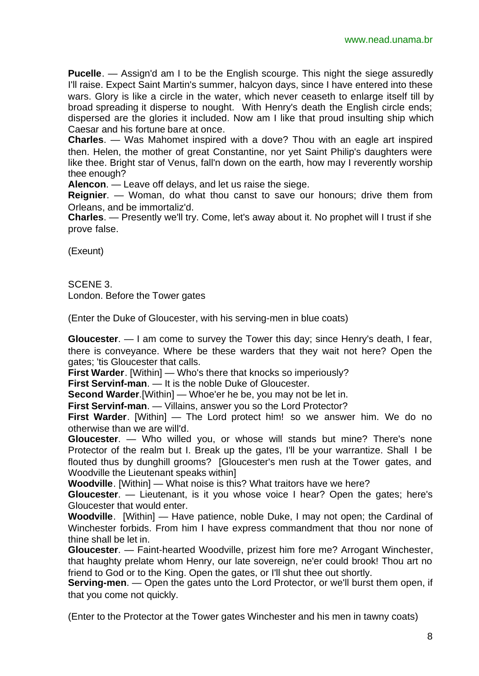**Pucelle**. — Assign'd am I to be the English scourge. This night the siege assuredly I'll raise. Expect Saint Martin's summer, halcyon days, since I have entered into these wars. Glory is like a circle in the water, which never ceaseth to enlarge itself till by broad spreading it disperse to nought. With Henry's death the English circle ends; dispersed are the glories it included. Now am I like that proud insulting ship which Caesar and his fortune bare at once.

**Charles**. — Was Mahomet inspired with a dove? Thou with an eagle art inspired then. Helen, the mother of great Constantine, nor yet Saint Philip's daughters were like thee. Bright star of Venus, fall'n down on the earth, how may I reverently worship thee enough?

**Alencon**. — Leave off delays, and let us raise the siege.

**Reignier**. — Woman, do what thou canst to save our honours; drive them from Orleans, and be immortaliz'd.

**Charles**. — Presently we'll try. Come, let's away about it. No prophet will I trust if she prove false.

(Exeunt)

SCENE 3. London. Before the Tower gates

(Enter the Duke of Gloucester, with his serving-men in blue coats)

**Gloucester**. — I am come to survey the Tower this day; since Henry's death, I fear, there is conveyance. Where be these warders that they wait not here? Open the gates; 'tis Gloucester that calls.

**First Warder**. [Within] — Who's there that knocks so imperiously?

**First Servinf-man**. — It is the noble Duke of Gloucester.

**Second Warder**.[Within] — Whoe'er he be, you may not be let in.

**First Servinf-man**. — Villains, answer you so the Lord Protector?

**First Warder**. [Within] — The Lord protect him! so we answer him. We do no otherwise than we are will'd.

**Gloucester**. — Who willed you, or whose will stands but mine? There's none Protector of the realm but I. Break up the gates, I'll be your warrantize. Shall I be flouted thus by dunghill grooms? [Gloucester's men rush at the Tower gates, and Woodville the Lieutenant speaks within]

**Woodville**. [Within] — What noise is this? What traitors have we here?

**Gloucester**. — Lieutenant, is it you whose voice I hear? Open the gates; here's Gloucester that would enter.

**Woodville**. [Within] — Have patience, noble Duke, I may not open; the Cardinal of Winchester forbids. From him I have express commandment that thou nor none of thine shall be let in.

**Gloucester**. — Faint-hearted Woodville, prizest him fore me? Arrogant Winchester, that haughty prelate whom Henry, our late sovereign, ne'er could brook! Thou art no friend to God or to the King. Open the gates, or I'll shut thee out shortly.

**Serving-men**. — Open the gates unto the Lord Protector, or we'll burst them open, if that you come not quickly.

(Enter to the Protector at the Tower gates Winchester and his men in tawny coats)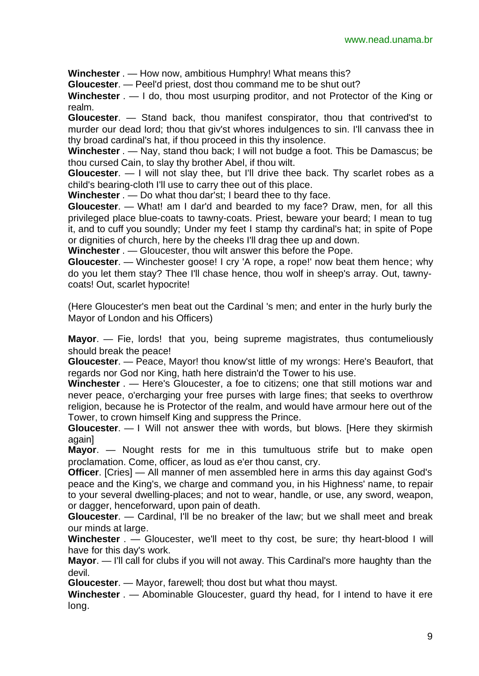**Winchester** . — How now, ambitious Humphry! What means this?

**Gloucester**. — Peel'd priest, dost thou command me to be shut out?

**Winchester** . — I do, thou most usurping proditor, and not Protector of the King or realm.

**Gloucester**. — Stand back, thou manifest conspirator, thou that contrived'st to murder our dead lord; thou that giv'st whores indulgences to sin. I'll canvass thee in thy broad cardinal's hat, if thou proceed in this thy insolence.

**Winchester** . — Nay, stand thou back; I will not budge a foot. This be Damascus; be thou cursed Cain, to slay thy brother Abel, if thou wilt.

**Gloucester**. — I will not slay thee, but I'll drive thee back. Thy scarlet robes as a child's bearing-cloth I'll use to carry thee out of this place.

**Winchester** . — Do what thou dar'st; I beard thee to thy face.

**Gloucester**. — What! am I dar'd and bearded to my face? Draw, men, for all this privileged place blue-coats to tawny-coats. Priest, beware your beard; I mean to tug it, and to cuff you soundly; Under my feet I stamp thy cardinal's hat; in spite of Pope or dignities of church, here by the cheeks I'll drag thee up and down.

**Winchester** . — Gloucester, thou wilt answer this before the Pope.

**Gloucester**. — Winchester goose! I cry 'A rope, a rope!' now beat them hence; why do you let them stay? Thee I'll chase hence, thou wolf in sheep's array. Out, tawnycoats! Out, scarlet hypocrite!

(Here Gloucester's men beat out the Cardinal 's men; and enter in the hurly burly the Mayor of London and his Officers)

**Mayor**. — Fie, lords! that you, being supreme magistrates, thus contumeliously should break the peace!

**Gloucester**. — Peace, Mayor! thou know'st little of my wrongs: Here's Beaufort, that regards nor God nor King, hath here distrain'd the Tower to his use.

**Winchester** . — Here's Gloucester, a foe to citizens; one that still motions war and never peace, o'ercharging your free purses with large fines; that seeks to overthrow religion, because he is Protector of the realm, and would have armour here out of the Tower, to crown himself King and suppress the Prince.

**Gloucester**. — I Will not answer thee with words, but blows. [Here they skirmish againl

**Mayor**. — Nought rests for me in this tumultuous strife but to make open proclamation. Come, officer, as loud as e'er thou canst, cry.

**Officer**. [Cries] — All manner of men assembled here in arms this day against God's peace and the King's, we charge and command you, in his Highness' name, to repair to your several dwelling-places; and not to wear, handle, or use, any sword, weapon, or dagger, henceforward, upon pain of death.

**Gloucester**. — Cardinal, I'll be no breaker of the law; but we shall meet and break our minds at large.

**Winchester** . — Gloucester, we'll meet to thy cost, be sure; thy heart-blood I will have for this day's work.

**Mayor**. — I'll call for clubs if you will not away. This Cardinal's more haughty than the devil.

**Gloucester**. — Mayor, farewell; thou dost but what thou mayst.

**Winchester** . — Abominable Gloucester, guard thy head, for I intend to have it ere long.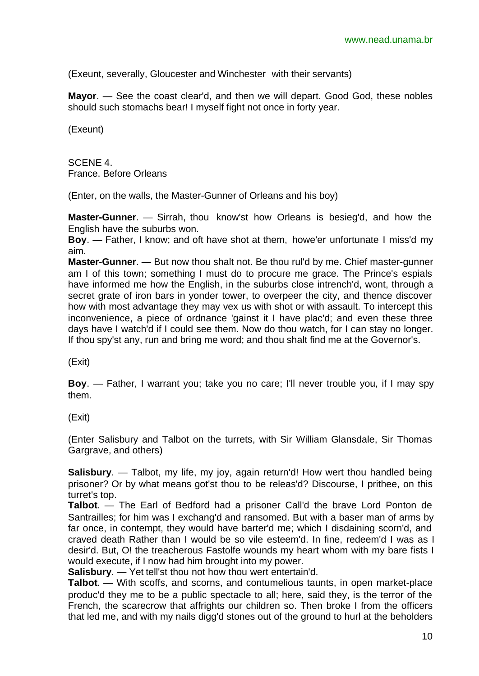(Exeunt, severally, Gloucester and Winchesterwith their servants)

**Mayor**. — See the coast clear'd, and then we will depart. Good God, these nobles should such stomachs bear! I myself fight not once in forty year.

(Exeunt)

SCENE 4. France. Before Orleans

(Enter, on the walls, the Master-Gunner of Orleans and his boy)

**Master-Gunner**. — Sirrah, thou know'st how Orleans is besieg'd, and how the English have the suburbs won.

**Boy**. — Father, I know; and oft have shot at them, howe'er unfortunate I miss'd my aim.

**Master-Gunner**. — But now thou shalt not. Be thou rul'd by me. Chief master-gunner am I of this town; something I must do to procure me grace. The Prince's espials have informed me how the English, in the suburbs close intrench'd, wont, through a secret grate of iron bars in yonder tower, to overpeer the city, and thence discover how with most advantage they may vex us with shot or with assault. To intercept this inconvenience, a piece of ordnance 'gainst it I have plac'd; and even these three days have I watch'd if I could see them. Now do thou watch, for I can stay no longer. If thou spy'st any, run and bring me word; and thou shalt find me at the Governor's.

(Exit)

**Boy**. — Father, I warrant you; take you no care; I'll never trouble you, if I may spy them.

(Exit)

(Enter Salisbury and Talbot on the turrets, with Sir William Glansdale, Sir Thomas Gargrave, and others)

**Salisbury**. — Talbot, my life, my joy, again return'd! How wert thou handled being prisoner? Or by what means got'st thou to be releas'd? Discourse, I prithee, on this turret's top.

**Talbot**. — The Earl of Bedford had a prisoner Call'd the brave Lord Ponton de Santrailles; for him was I exchang'd and ransomed. But with a baser man of arms by far once, in contempt, they would have barter'd me; which I disdaining scorn'd, and craved death Rather than I would be so vile esteem'd. In fine, redeem'd I was as I desir'd. But, O! the treacherous Fastolfe wounds my heart whom with my bare fists I would execute, if I now had him brought into my power.

**Salisbury**. — Yet tell'st thou not how thou wert entertain'd.

**Talbot**. — With scoffs, and scorns, and contumelious taunts, in open market-place produc'd they me to be a public spectacle to all; here, said they, is the terror of the French, the scarecrow that affrights our children so. Then broke I from the officers that led me, and with my nails digg'd stones out of the ground to hurl at the beholders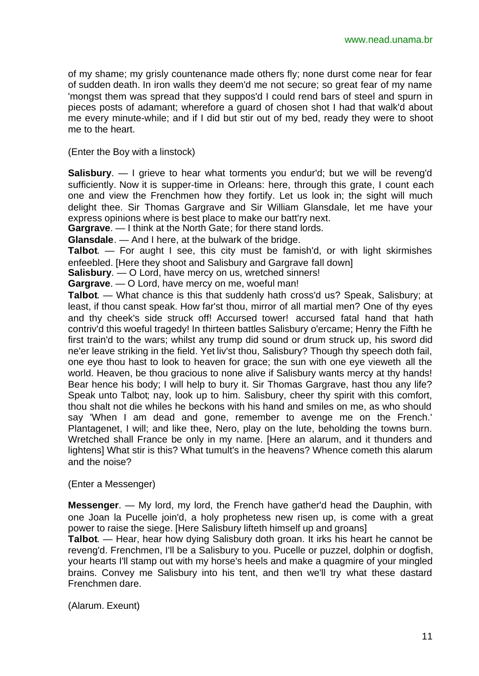of my shame; my grisly countenance made others fly; none durst come near for fear of sudden death. In iron walls they deem'd me not secure; so great fear of my name 'mongst them was spread that they suppos'd I could rend bars of steel and spurn in pieces posts of adamant; wherefore a guard of chosen shot I had that walk'd about me every minute-while; and if I did but stir out of my bed, ready they were to shoot me to the heart.

(Enter the Boy with a linstock)

**Salisbury**. — I grieve to hear what torments you endur'd; but we will be reveng'd sufficiently. Now it is supper-time in Orleans: here, through this grate, I count each one and view the Frenchmen how they fortify. Let us look in; the sight will much delight thee. Sir Thomas Gargrave and Sir William Glansdale, let me have your express opinions where is best place to make our batt'ry next.

**Gargrave**. — I think at the North Gate; for there stand lords.

**Glansdale**. — And I here, at the bulwark of the bridge.

**Talbot**. — For aught I see, this city must be famish'd, or with light skirmishes enfeebled. [Here they shoot and Salisbury and Gargrave fall down]

**Salisbury**. — O Lord, have mercy on us, wretched sinners!

**Gargrave**. — O Lord, have mercy on me, woeful man!

**Talbot**. — What chance is this that suddenly hath cross'd us? Speak, Salisbury; at least, if thou canst speak. How far'st thou, mirror of all martial men? One of thy eyes and thy cheek's side struck off! Accursed tower! accursed fatal hand that hath contriv'd this woeful tragedy! In thirteen battles Salisbury o'ercame; Henry the Fifth he first train'd to the wars; whilst any trump did sound or drum struck up, his sword did ne'er leave striking in the field. Yet liv'st thou, Salisbury? Though thy speech doth fail, one eye thou hast to look to heaven for grace; the sun with one eye vieweth all the world. Heaven, be thou gracious to none alive if Salisbury wants mercy at thy hands! Bear hence his body; I will help to bury it. Sir Thomas Gargrave, hast thou any life? Speak unto Talbot; nay, look up to him. Salisbury, cheer thy spirit with this comfort, thou shalt not die whiles he beckons with his hand and smiles on me, as who should say 'When I am dead and gone, remember to avenge me on the French.' Plantagenet, I will; and like thee, Nero, play on the lute, beholding the towns burn. Wretched shall France be only in my name. [Here an alarum, and it thunders and lightens] What stir is this? What tumult's in the heavens? Whence cometh this alarum and the noise?

(Enter a Messenger)

**Messenger**. — My lord, my lord, the French have gather'd head the Dauphin, with one Joan la Pucelle join'd, a holy prophetess new risen up, is come with a great power to raise the siege. [Here Salisbury lifteth himself up and groans]

**Talbot**. — Hear, hear how dying Salisbury doth groan. It irks his heart he cannot be reveng'd. Frenchmen, I'll be a Salisbury to you. Pucelle or puzzel, dolphin or dogfish, your hearts I'll stamp out with my horse's heels and make a quagmire of your mingled brains. Convey me Salisbury into his tent, and then we'll try what these dastard Frenchmen dare.

(Alarum. Exeunt)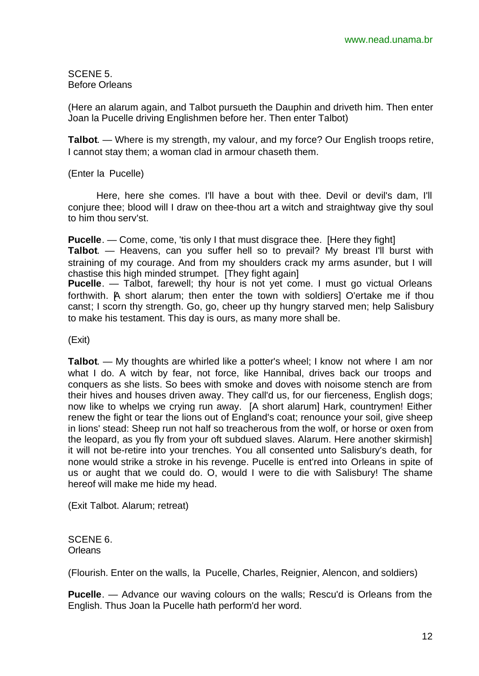SCENE 5. Before Orleans

(Here an alarum again, and Talbot pursueth the Dauphin and driveth him. Then enter Joan la Pucelle driving Englishmen before her. Then enter Talbot)

**Talbot**. — Where is my strength, my valour, and my force? Our English troops retire, I cannot stay them; a woman clad in armour chaseth them.

(Enter la Pucelle)

Here, here she comes. I'll have a bout with thee. Devil or devil's dam, I'll conjure thee; blood will I draw on thee-thou art a witch and straightway give thy soul to him thou serv'st.

**Pucelle**. — Come, come, 'tis only I that must disgrace thee. [Here they fight] **Talbot**. — Heavens, can you suffer hell so to prevail? My breast I'll burst with straining of my courage. And from my shoulders crack my arms asunder, but I will chastise this high minded strumpet. [They fight again]

**Pucelle**. — Talbot, farewell; thy hour is not yet come. I must go victual Orleans forthwith. A short alarum; then enter the town with soldiers] O'ertake me if thou canst; I scorn thy strength. Go, go, cheer up thy hungry starved men; help Salisbury to make his testament. This day is ours, as many more shall be.

(Exit)

**Talbot.** — My thoughts are whirled like a potter's wheel; I know not where I am nor what I do. A witch by fear, not force, like Hannibal, drives back our troops and conquers as she lists. So bees with smoke and doves with noisome stench are from their hives and houses driven away. They call'd us, for our fierceness, English dogs; now like to whelps we crying run away. [A short alarum] Hark, countrymen! Either renew the fight or tear the lions out of England's coat; renounce your soil, give sheep in lions' stead: Sheep run not half so treacherous from the wolf, or horse or oxen from the leopard, as you fly from your oft subdued slaves. Alarum. Here another skirmish] it will not be-retire into your trenches. You all consented unto Salisbury's death, for none would strike a stroke in his revenge. Pucelle is ent'red into Orleans in spite of us or aught that we could do. O, would I were to die with Salisbury! The shame hereof will make me hide my head.

(Exit Talbot. Alarum; retreat)

SCENE 6. **Orleans** 

(Flourish. Enter on the walls, la Pucelle, Charles, Reignier, Alencon, and soldiers)

**Pucelle**. — Advance our waving colours on the walls; Rescu'd is Orleans from the English. Thus Joan la Pucelle hath perform'd her word.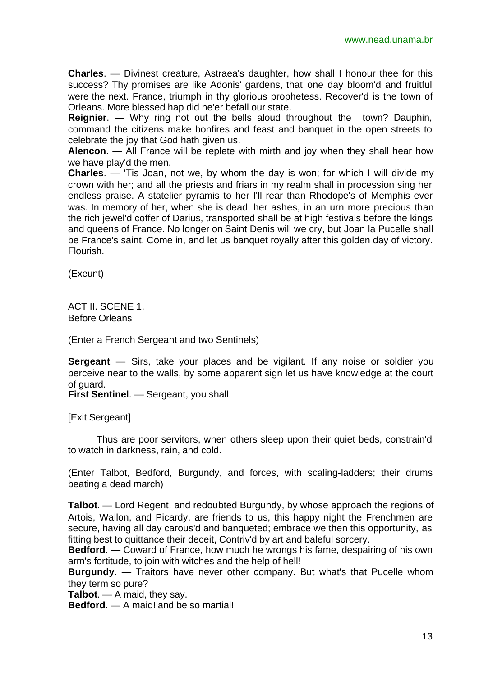**Charles**. — Divinest creature, Astraea's daughter, how shall I honour thee for this success? Thy promises are like Adonis' gardens, that one day bloom'd and fruitful were the next. France, triumph in thy glorious prophetess. Recover'd is the town of Orleans. More blessed hap did ne'er befall our state.

**Reignier**. — Why ring not out the bells aloud throughout the town? Dauphin, command the citizens make bonfires and feast and banquet in the open streets to celebrate the joy that God hath given us.

**Alencon**. — All France will be replete with mirth and joy when they shall hear how we have play'd the men.

**Charles**. — 'Tis Joan, not we, by whom the day is won; for which I will divide my crown with her; and all the priests and friars in my realm shall in procession sing her endless praise. A statelier pyramis to her I'll rear than Rhodope's of Memphis ever was. In memory of her, when she is dead, her ashes, in an urn more precious than the rich jewel'd coffer of Darius, transported shall be at high festivals before the kings and queens of France. No longer on Saint Denis will we cry, but Joan la Pucelle shall be France's saint. Come in, and let us banquet royally after this golden day of victory. Flourish.

(Exeunt)

ACT II. SCENE 1. Before Orleans

(Enter a French Sergeant and two Sentinels)

**Sergeant**. — Sirs, take your places and be vigilant. If any noise or soldier you perceive near to the walls, by some apparent sign let us have knowledge at the court of guard.

**First Sentinel**. — Sergeant, you shall.

[Exit Sergeant]

Thus are poor servitors, when others sleep upon their quiet beds, constrain'd to watch in darkness, rain, and cold.

(Enter Talbot, Bedford, Burgundy, and forces, with scaling-ladders; their drums beating a dead march)

**Talbot**. — Lord Regent, and redoubted Burgundy, by whose approach the regions of Artois, Wallon, and Picardy, are friends to us, this happy night the Frenchmen are secure, having all day carous'd and banqueted; embrace we then this opportunity, as fitting best to quittance their deceit, Contriv'd by art and baleful sorcery.

**Bedford**. — Coward of France, how much he wrongs his fame, despairing of his own arm's fortitude, to join with witches and the help of hell!

**Burgundy**. — Traitors have never other company. But what's that Pucelle whom they term so pure?

**Talbot**. — A maid, they say.

**Bedford**. — A maid! and be so martial!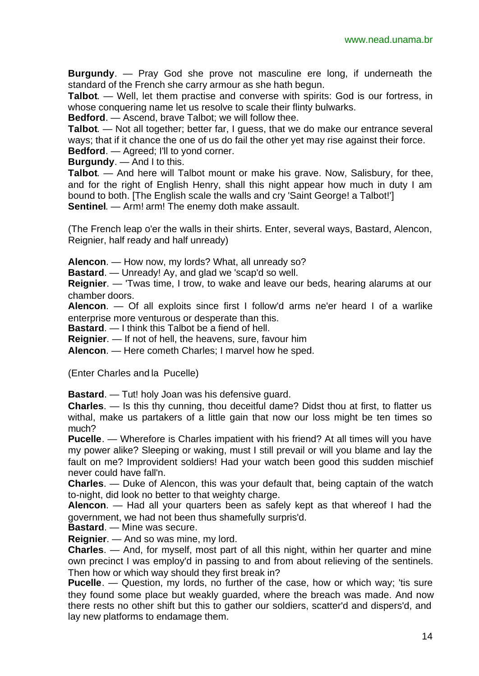**Burgundy**. — Pray God she prove not masculine ere long, if underneath the standard of the French she carry armour as she hath begun.

**Talbot**. — Well, let them practise and converse with spirits: God is our fortress, in whose conquering name let us resolve to scale their flinty bulwarks.

**Bedford**. — Ascend, brave Talbot; we will follow thee.

**Talbot**. — Not all together; better far, I guess, that we do make our entrance several ways; that if it chance the one of us do fail the other yet may rise against their force. **Bedford**. — Agreed; I'll to yond corner.

**Burgundy**. — And I to this.

**Talbot**. — And here will Talbot mount or make his grave. Now, Salisbury, for thee, and for the right of English Henry, shall this night appear how much in duty I am bound to both. [The English scale the walls and cry 'Saint George! a Talbot!'] **Sentinel**. — Arm! arm! The enemy doth make assault.

(The French leap o'er the walls in their shirts. Enter, several ways, Bastard, Alencon, Reignier, half ready and half unready)

**Alencon**. — How now, my lords? What, all unready so?

**Bastard**. — Unready! Ay, and glad we 'scap'd so well.

**Reignier**. — 'Twas time, I trow, to wake and leave our beds, hearing alarums at our chamber doors.

**Alencon**. — Of all exploits since first I follow'd arms ne'er heard I of a warlike enterprise more venturous or desperate than this.

**Bastard**. — I think this Talbot be a fiend of hell.

**Reignier**. — If not of hell, the heavens, sure, favour him

**Alencon**. — Here cometh Charles; I marvel how he sped.

(Enter Charles and la Pucelle)

**Bastard**. — Tut! holy Joan was his defensive guard.

**Charles**. — Is this thy cunning, thou deceitful dame? Didst thou at first, to flatter us withal, make us partakers of a little gain that now our loss might be ten times so much?

**Pucelle**. — Wherefore is Charles impatient with his friend? At all times will you have my power alike? Sleeping or waking, must I still prevail or will you blame and lay the fault on me? Improvident soldiers! Had your watch been good this sudden mischief never could have fall'n.

**Charles**. — Duke of Alencon, this was your default that, being captain of the watch to-night, did look no better to that weighty charge.

**Alencon**. — Had all your quarters been as safely kept as that whereof I had the government, we had not been thus shamefully surpris'd.

**Bastard**. — Mine was secure.

**Reignier**. — And so was mine, my lord.

**Charles**. — And, for myself, most part of all this night, within her quarter and mine own precinct I was employ'd in passing to and from about relieving of the sentinels. Then how or which way should they first break in?

**Pucelle**. — Question, my lords, no further of the case, how or which way; 'tis sure they found some place but weakly guarded, where the breach was made. And now there rests no other shift but this to gather our soldiers, scatter'd and dispers'd, and lay new platforms to endamage them.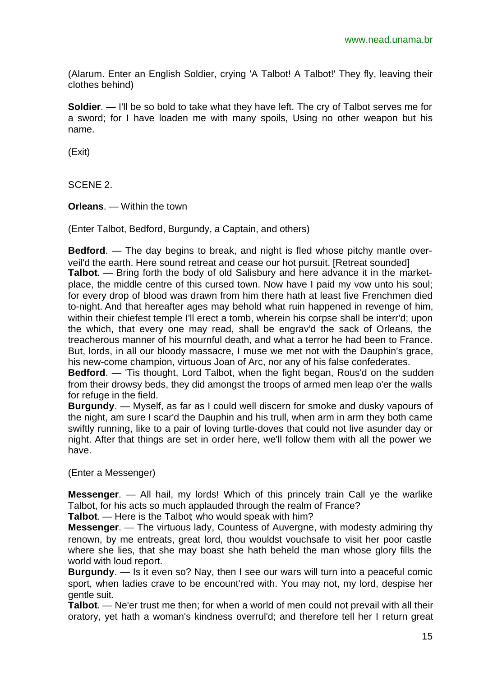(Alarum. Enter an English Soldier, crying 'A Talbot! A Talbot!' They fly, leaving their clothes behind)

**Soldier**. — I'll be so bold to take what they have left. The cry of Talbot serves me for a sword; for I have loaden me with many spoils, Using no other weapon but his name.

(Exit)

SCENE 2.

**Orleans**. — Within the town

(Enter Talbot, Bedford, Burgundy, a Captain, and others)

**Bedford**. — The day begins to break, and night is fled whose pitchy mantle overveil'd the earth. Here sound retreat and cease our hot pursuit. [Retreat sounded] **Talbot**. — Bring forth the body of old Salisbury and here advance it in the marketplace, the middle centre of this cursed town. Now have I paid my vow unto his soul; for every drop of blood was drawn from him there hath at least five Frenchmen died to-night. And that hereafter ages may behold what ruin happened in revenge of him, within their chiefest temple I'll erect a tomb, wherein his corpse shall be interr'd; upon the which, that every one may read, shall be engrav'd the sack of Orleans, the treacherous manner of his mournful death, and what a terror he had been to France. But, lords, in all our bloody massacre, I muse we met not with the Dauphin's grace, his new-come champion, virtuous Joan of Arc, nor any of his false confederates.

**Bedford**. — 'Tis thought, Lord Talbot, when the fight began, Rous'd on the sudden from their drowsy beds, they did amongst the troops of armed men leap o'er the walls for refuge in the field.

**Burgundy**. — Myself, as far as I could well discern for smoke and dusky vapours of the night, am sure I scar'd the Dauphin and his trull, when arm in arm they both came swiftly running, like to a pair of loving turtle-doves that could not live asunder day or night. After that things are set in order here, we'll follow them with all the power we have.

(Enter a Messenger)

**Messenger**. — All hail, my lords! Which of this princely train Call ye the warlike Talbot, for his acts so much applauded through the realm of France?

**Talbot**. — Here is the Talbot; who would speak with him?

**Messenger**. — The virtuous lady, Countess of Auvergne, with modesty admiring thy renown, by me entreats, great lord, thou wouldst vouchsafe to visit her poor castle where she lies, that she may boast she hath beheld the man whose glory fills the world with loud report.

**Burgundy**. — Is it even so? Nay, then I see our wars will turn into a peaceful comic sport, when ladies crave to be encount'red with. You may not, my lord, despise her gentle suit.

**Talbot**. — Ne'er trust me then; for when a world of men could not prevail with all their oratory, yet hath a woman's kindness overrul'd; and therefore tell her I return great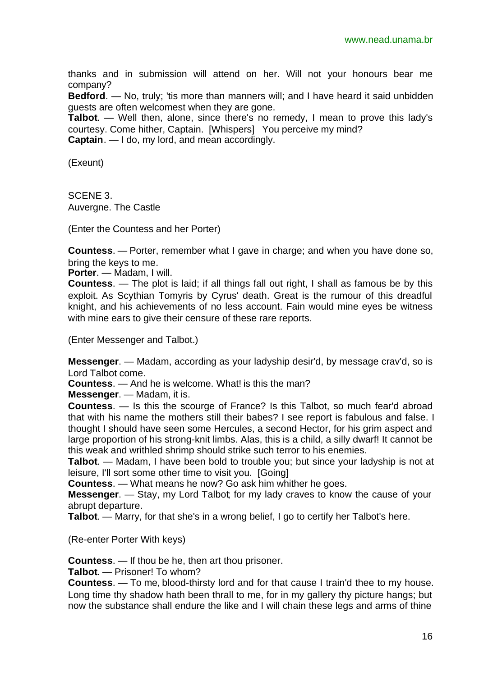thanks and in submission will attend on her. Will not your honours bear me company?

**Bedford**. — No, truly; 'tis more than manners will; and I have heard it said unbidden guests are often welcomest when they are gone.

**Talbot**. — Well then, alone, since there's no remedy, I mean to prove this lady's courtesy. Come hither, Captain. [Whispers] You perceive my mind?

**Captain**. — I do, my lord, and mean accordingly.

(Exeunt)

SCENE 3. Auvergne. The Castle

(Enter the Countess and her Porter)

**Countess**. — Porter, remember what I gave in charge; and when you have done so, bring the keys to me.

**Porter**. — Madam, I will.

**Countess**. — The plot is laid; if all things fall out right, I shall as famous be by this exploit. As Scythian Tomyris by Cyrus' death. Great is the rumour of this dreadful knight, and his achievements of no less account. Fain would mine eyes be witness with mine ears to give their censure of these rare reports.

(Enter Messenger and Talbot.)

**Messenger**. — Madam, according as your ladyship desir'd, by message crav'd, so is Lord Talbot come.

**Countess**. — And he is welcome. What! is this the man?

**Messenger**. — Madam, it is.

**Countess**. — Is this the scourge of France? Is this Talbot, so much fear'd abroad that with his name the mothers still their babes? I see report is fabulous and false. I thought I should have seen some Hercules, a second Hector, for his grim aspect and large proportion of his strong-knit limbs. Alas, this is a child, a silly dwarf! It cannot be this weak and writhled shrimp should strike such terror to his enemies.

**Talbot**. — Madam, I have been bold to trouble you; but since your ladyship is not at leisure, I'll sort some other time to visit you. [Going]

**Countess**. — What means he now? Go ask him whither he goes.

**Messenger**. — Stay, my Lord Talbot; for my lady craves to know the cause of your abrupt departure.

**Talbot**. — Marry, for that she's in a wrong belief, I go to certify her Talbot's here.

(Re-enter Porter With keys)

**Countess**. — If thou be he, then art thou prisoner.

**Talbot**. — Prisoner! To whom?

**Countess**. — To me, blood-thirsty lord and for that cause I train'd thee to my house. Long time thy shadow hath been thrall to me, for in my gallery thy picture hangs; but now the substance shall endure the like and I will chain these legs and arms of thine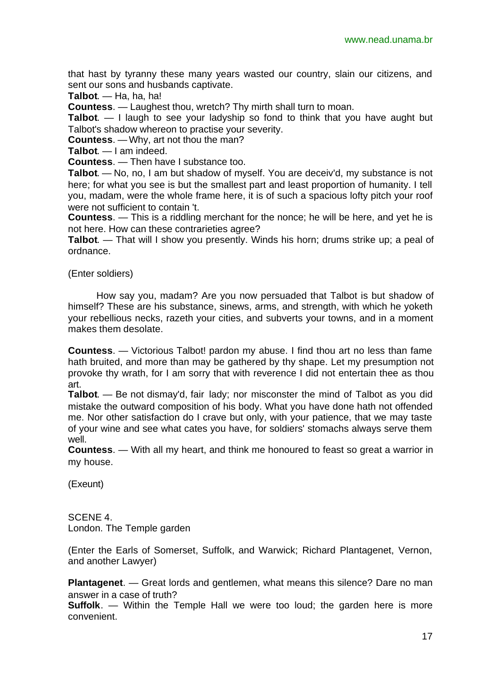that hast by tyranny these many years wasted our country, slain our citizens, and sent our sons and husbands captivate.

**Talbot**. — Ha, ha, ha!

**Countess**. — Laughest thou, wretch? Thy mirth shall turn to moan.

**Talbot**. — I laugh to see your ladyship so fond to think that you have aught but Talbot's shadow whereon to practise your severity.

**Countess**. — Why, art not thou the man?

**Talbot**. — I am indeed.

**Countess**. — Then have I substance too.

**Talbot**. — No, no, I am but shadow of myself. You are deceiv'd, my substance is not here; for what you see is but the smallest part and least proportion of humanity. I tell you, madam, were the whole frame here, it is of such a spacious lofty pitch your roof were not sufficient to contain 't.

**Countess**. — This is a riddling merchant for the nonce; he will be here, and yet he is not here. How can these contrarieties agree?

**Talbot**. — That will I show you presently. Winds his horn; drums strike up; a peal of ordnance.

(Enter soldiers)

How say you, madam? Are you now persuaded that Talbot is but shadow of himself? These are his substance, sinews, arms, and strength, with which he yoketh your rebellious necks, razeth your cities, and subverts your towns, and in a moment makes them desolate.

**Countess**. — Victorious Talbot! pardon my abuse. I find thou art no less than fame hath bruited, and more than may be gathered by thy shape. Let my presumption not provoke thy wrath, for I am sorry that with reverence I did not entertain thee as thou art.

**Talbot**. — Be not dismay'd, fair lady; nor misconster the mind of Talbot as you did mistake the outward composition of his body. What you have done hath not offended me. Nor other satisfaction do I crave but only, with your patience, that we may taste of your wine and see what cates you have, for soldiers' stomachs always serve them well.

**Countess**. — With all my heart, and think me honoured to feast so great a warrior in my house.

(Exeunt)

SCENE 4. London. The Temple garden

(Enter the Earls of Somerset, Suffolk, and Warwick; Richard Plantagenet, Vernon, and another Lawyer)

**Plantagenet**. — Great lords and gentlemen, what means this silence? Dare no man answer in a case of truth?

**Suffolk**. — Within the Temple Hall we were too loud; the garden here is more convenient.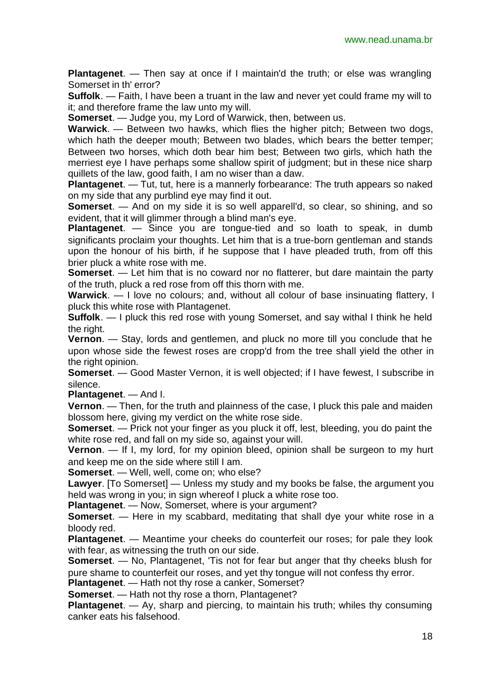**Plantagenet**. — Then say at once if I maintain'd the truth; or else was wrangling Somerset in th' error?

**Suffolk**. — Faith, I have been a truant in the law and never yet could frame my will to it; and therefore frame the law unto my will.

**Somerset**. — Judge you, my Lord of Warwick, then, between us.

**Warwick**. — Between two hawks, which flies the higher pitch; Between two dogs, which hath the deeper mouth; Between two blades, which bears the better temper; Between two horses, which doth bear him best; Between two girls, which hath the merriest eye I have perhaps some shallow spirit of judgment; but in these nice sharp quillets of the law, good faith, I am no wiser than a daw.

**Plantagenet**. — Tut, tut, here is a mannerly forbearance: The truth appears so naked on my side that any purblind eye may find it out.

**Somerset**. — And on my side it is so well apparell'd, so clear, so shining, and so evident, that it will glimmer through a blind man's eve.

**Plantagenet**. — Since you are tongue-tied and so loath to speak, in dumb significants proclaim your thoughts. Let him that is a true-born gentleman and stands upon the honour of his birth, if he suppose that I have pleaded truth, from off this brier pluck a white rose with me.

**Somerset**. — Let him that is no coward nor no flatterer, but dare maintain the party of the truth, pluck a red rose from off this thorn with me.

**Warwick**. — I love no colours; and, without all colour of base insinuating flattery, I pluck this white rose with Plantagenet.

**Suffolk**. — I pluck this red rose with young Somerset, and say withal I think he held the right.

**Vernon**. — Stay, lords and gentlemen, and pluck no more till you conclude that he upon whose side the fewest roses are cropp'd from the tree shall yield the other in the right opinion.

**Somerset**. — Good Master Vernon, it is well objected; if I have fewest, I subscribe in silence.

**Plantagenet**. — And I.

**Vernon**. — Then, for the truth and plainness of the case, I pluck this pale and maiden blossom here, giving my verdict on the white rose side.

**Somerset**. — Prick not your finger as you pluck it off, lest, bleeding, you do paint the white rose red, and fall on my side so, against your will.

**Vernon**. — If I, my lord, for my opinion bleed, opinion shall be surgeon to my hurt and keep me on the side where still I am.

**Somerset**. — Well, well, come on; who else?

**Lawyer**. [To Somerset] — Unless my study and my books be false, the argument you held was wrong in you; in sign whereof I pluck a white rose too.

**Plantagenet**. — Now, Somerset, where is your argument?

**Somerset**. — Here in my scabbard, meditating that shall dye your white rose in a bloody red.

**Plantagenet**. — Meantime your cheeks do counterfeit our roses; for pale they look with fear, as witnessing the truth on our side.

**Somerset**. — No, Plantagenet, 'Tis not for fear but anger that thy cheeks blush for pure shame to counterfeit our roses, and yet thy tongue will not confess thy error.

**Plantagenet**. — Hath not thy rose a canker, Somerset?

**Somerset**. — Hath not thy rose a thorn, Plantagenet?

**Plantagenet**. — Ay, sharp and piercing, to maintain his truth; whiles thy consuming canker eats his falsehood.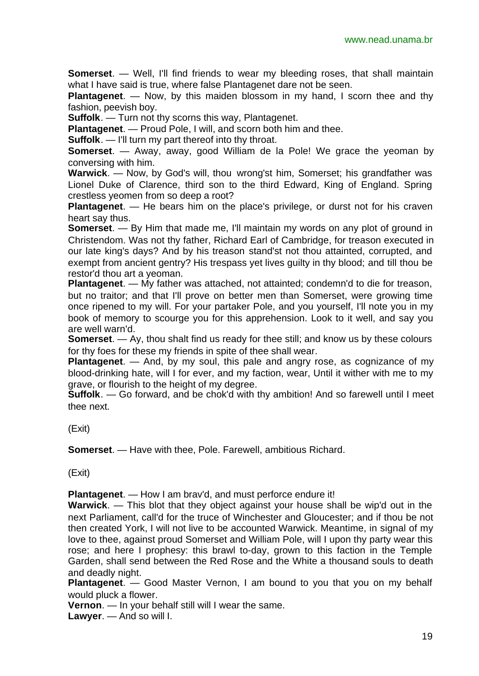**Somerset**. — Well, I'll find friends to wear my bleeding roses, that shall maintain what I have said is true, where false Plantagenet dare not be seen.

**Plantagenet**. — Now, by this maiden blossom in my hand, I scorn thee and thy fashion, peevish boy.

**Suffolk**. — Turn not thy scorns this way, Plantagenet.

**Plantagenet**. — Proud Pole, I will, and scorn both him and thee.

**Suffolk.** — I'll turn my part thereof into thy throat.

**Somerset**. — Away, away, good William de la Pole! We grace the yeoman by conversing with him.

**Warwick**. — Now, by God's will, thou wrong'st him, Somerset; his grandfather was Lionel Duke of Clarence, third son to the third Edward, King of England. Spring crestless yeomen from so deep a root?

**Plantagenet**. — He bears him on the place's privilege, or durst not for his craven heart say thus.

**Somerset**. — By Him that made me, I'll maintain my words on any plot of ground in Christendom. Was not thy father, Richard Earl of Cambridge, for treason executed in our late king's days? And by his treason stand'st not thou attainted, corrupted, and exempt from ancient gentry? His trespass yet lives guilty in thy blood; and till thou be restor'd thou art a yeoman.

**Plantagenet**. — My father was attached, not attainted; condemn'd to die for treason, but no traitor; and that I'll prove on better men than Somerset, were growing time once ripened to my will. For your partaker Pole, and you yourself, I'll note you in my book of memory to scourge you for this apprehension. Look to it well, and say you are well warn'd.

**Somerset**. — Ay, thou shalt find us ready for thee still; and know us by these colours for thy foes for these my friends in spite of thee shall wear.

**Plantagenet**. — And, by my soul, this pale and angry rose, as cognizance of my blood-drinking hate, will I for ever, and my faction, wear, Until it wither with me to my grave, or flourish to the height of my degree.

**Suffolk**. — Go forward, and be chok'd with thy ambition! And so farewell until I meet thee next.

(Exit)

**Somerset**. — Have with thee, Pole. Farewell, ambitious Richard.

(Exit)

**Plantagenet**. — How I am brav'd, and must perforce endure it!

**Warwick**. — This blot that they object against your house shall be wip'd out in the next Parliament, call'd for the truce of Winchester and Gloucester; and if thou be not then created York, I will not live to be accounted Warwick. Meantime, in signal of my love to thee, against proud Somerset and William Pole, will I upon thy party wear this rose; and here I prophesy: this brawl to-day, grown to this faction in the Temple Garden, shall send between the Red Rose and the White a thousand souls to death and deadly night.

**Plantagenet**. — Good Master Vernon, I am bound to you that you on my behalf would pluck a flower.

**Vernon**. — In your behalf still will I wear the same.

**Lawyer**. — And so will I.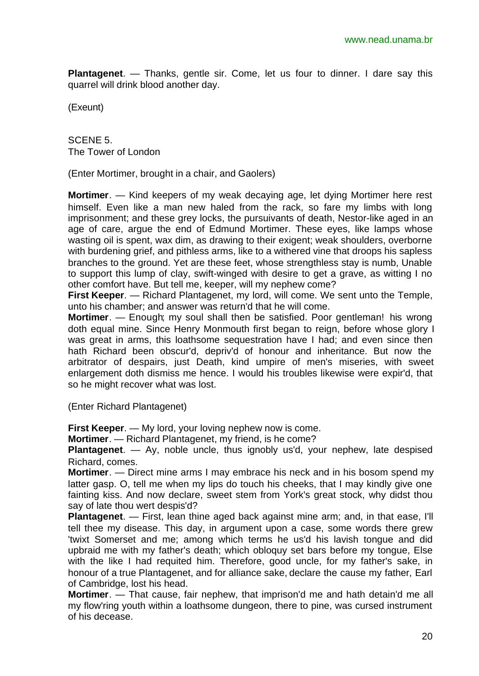**Plantagenet**. — Thanks, gentle sir. Come, let us four to dinner. I dare say this quarrel will drink blood another day.

(Exeunt)

SCENE 5. The Tower of London

(Enter Mortimer, brought in a chair, and Gaolers)

**Mortimer**. — Kind keepers of my weak decaying age, let dying Mortimer here rest himself. Even like a man new haled from the rack, so fare my limbs with long imprisonment; and these grey locks, the pursuivants of death, Nestor-like aged in an age of care, argue the end of Edmund Mortimer. These eyes, like lamps whose wasting oil is spent, wax dim, as drawing to their exigent; weak shoulders, overborne with burdening grief, and pithless arms, like to a withered vine that droops his sapless branches to the ground. Yet are these feet, whose strengthless stay is numb, Unable to support this lump of clay, swift-winged with desire to get a grave, as witting I no other comfort have. But tell me, keeper, will my nephew come?

**First Keeper**. — Richard Plantagenet, my lord, will come. We sent unto the Temple, unto his chamber; and answer was return'd that he will come.

**Mortimer**. — Enough; my soul shall then be satisfied. Poor gentleman! his wrong doth equal mine. Since Henry Monmouth first began to reign, before whose glory I was great in arms, this loathsome sequestration have I had; and even since then hath Richard been obscur'd, depriv'd of honour and inheritance. But now the arbitrator of despairs, just Death, kind umpire of men's miseries, with sweet enlargement doth dismiss me hence. I would his troubles likewise were expir'd, that so he might recover what was lost.

(Enter Richard Plantagenet)

**First Keeper**. — My lord, your loving nephew now is come.

**Mortimer**. — Richard Plantagenet, my friend, is he come?

**Plantagenet**. — Ay, noble uncle, thus ignobly us'd, your nephew, late despised Richard, comes.

**Mortimer**. — Direct mine arms I may embrace his neck and in his bosom spend my latter gasp. O, tell me when my lips do touch his cheeks, that I may kindly give one fainting kiss. And now declare, sweet stem from York's great stock, why didst thou say of late thou wert despis'd?

**Plantagenet**. — First, lean thine aged back against mine arm; and, in that ease, I'll tell thee my disease. This day, in argument upon a case, some words there grew 'twixt Somerset and me; among which terms he us'd his lavish tongue and did upbraid me with my father's death; which obloquy set bars before my tongue, Else with the like I had requited him. Therefore, good uncle, for my father's sake, in honour of a true Plantagenet, and for alliance sake, declare the cause my father, Earl of Cambridge, lost his head.

**Mortimer**. — That cause, fair nephew, that imprison'd me and hath detain'd me all my flow'ring youth within a loathsome dungeon, there to pine, was cursed instrument of his decease.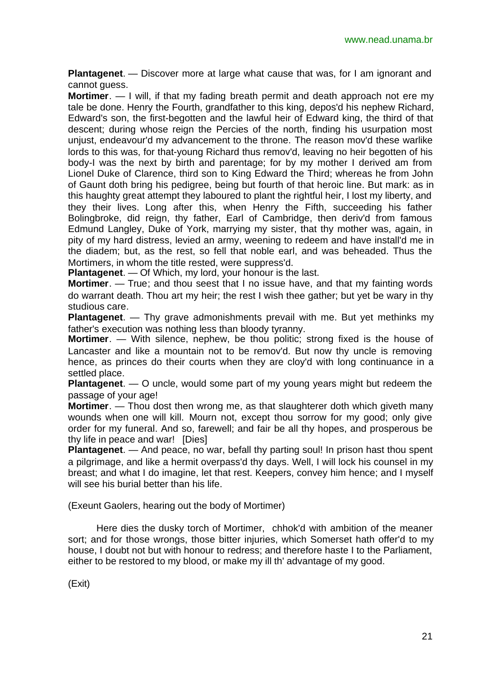**Plantagenet**. — Discover more at large what cause that was, for I am ignorant and cannot guess.

**Mortimer**. — I will, if that my fading breath permit and death approach not ere my tale be done. Henry the Fourth, grandfather to this king, depos'd his nephew Richard, Edward's son, the first-begotten and the lawful heir of Edward king, the third of that descent; during whose reign the Percies of the north, finding his usurpation most unjust, endeavour'd my advancement to the throne. The reason mov'd these warlike lords to this was, for that-young Richard thus remov'd, leaving no heir begotten of his body-I was the next by birth and parentage; for by my mother I derived am from Lionel Duke of Clarence, third son to King Edward the Third; whereas he from John of Gaunt doth bring his pedigree, being but fourth of that heroic line. But mark: as in this haughty great attempt they laboured to plant the rightful heir, I lost my liberty, and they their lives. Long after this, when Henry the Fifth, succeeding his father Bolingbroke, did reign, thy father, Earl of Cambridge, then deriv'd from famous Edmund Langley, Duke of York, marrying my sister, that thy mother was, again, in pity of my hard distress, levied an army, weening to redeem and have install'd me in the diadem; but, as the rest, so fell that noble earl, and was beheaded. Thus the Mortimers, in whom the title rested, were suppress'd.

**Plantagenet**. — Of Which, my lord, your honour is the last.

**Mortimer**. — True; and thou seest that I no issue have, and that my fainting words do warrant death. Thou art my heir; the rest I wish thee gather; but yet be wary in thy studious care.

**Plantagenet**. — Thy grave admonishments prevail with me. But yet methinks my father's execution was nothing less than bloody tyranny.

**Mortimer**. — With silence, nephew, be thou politic; strong fixed is the house of Lancaster and like a mountain not to be remov'd. But now thy uncle is removing hence, as princes do their courts when they are cloy'd with long continuance in a settled place.

**Plantagenet**. — O uncle, would some part of my young years might but redeem the passage of your age!

**Mortimer**. — Thou dost then wrong me, as that slaughterer doth which giveth many wounds when one will kill. Mourn not, except thou sorrow for my good; only give order for my funeral. And so, farewell; and fair be all thy hopes, and prosperous be thy life in peace and war! [Dies]

**Plantagenet**. — And peace, no war, befall thy parting soul! In prison hast thou spent a pilgrimage, and like a hermit overpass'd thy days. Well, I will lock his counsel in my breast; and what I do imagine, let that rest. Keepers, convey him hence; and I myself will see his burial better than his life.

(Exeunt Gaolers, hearing out the body of Mortimer)

Here dies the dusky torch of Mortimer, chhok'd with ambition of the meaner sort; and for those wrongs, those bitter injuries, which Somerset hath offer'd to my house, I doubt not but with honour to redress; and therefore haste I to the Parliament, either to be restored to my blood, or make my ill th' advantage of my good.

(Exit)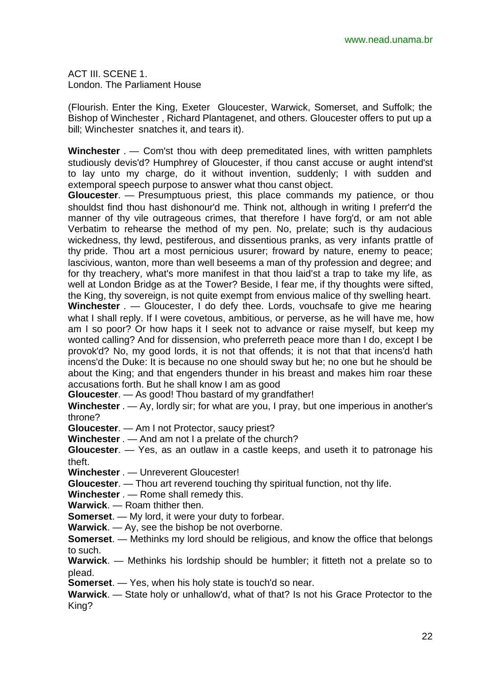ACT III. SCENE 1. London. The Parliament House

(Flourish. Enter the King, Exeter Gloucester, Warwick, Somerset, and Suffolk; the Bishop of Winchester , Richard Plantagenet, and others. Gloucester offers to put up a bill; Winchester snatches it, and tears it).

**Winchester** . — Com'st thou with deep premeditated lines, with written pamphlets studiously devis'd? Humphrey of Gloucester, if thou canst accuse or aught intend'st to lay unto my charge, do it without invention, suddenly; I with sudden and extemporal speech purpose to answer what thou canst object.

**Gloucester**. — Presumptuous priest, this place commands my patience, or thou shouldst find thou hast dishonour'd me. Think not, although in writing I preferr'd the manner of thy vile outrageous crimes, that therefore I have forg'd, or am not able Verbatim to rehearse the method of my pen. No, prelate; such is thy audacious wickedness, thy lewd, pestiferous, and dissentious pranks, as very infants prattle of thy pride. Thou art a most pernicious usurer; froward by nature, enemy to peace; lascivious, wanton, more than well beseems a man of thy profession and degree; and for thy treachery, what's more manifest in that thou laid'st a trap to take my life, as well at London Bridge as at the Tower? Beside, I fear me, if thy thoughts were sifted, the King, thy sovereign, is not quite exempt from envious malice of thy swelling heart. **Winchester** . — Gloucester, I do defy thee. Lords, vouchsafe to give me hearing what I shall reply. If I were covetous, ambitious, or perverse, as he will have me, how am I so poor? Or how haps it I seek not to advance or raise myself, but keep my wonted calling? And for dissension, who preferreth peace more than I do, except I be provok'd? No, my good lords, it is not that offends; it is not that that incens'd hath incens'd the Duke: It is because no one should sway but he; no one but he should be about the King; and that engenders thunder in his breast and makes him roar these accusations forth. But he shall know I am as good

**Gloucester**. — As good! Thou bastard of my grandfather!

**Winchester** . — Ay, lordly sir; for what are you, I pray, but one imperious in another's throne?

**Gloucester**. — Am I not Protector, saucy priest?

**Winchester** . — And am not I a prelate of the church?

**Gloucester**. — Yes, as an outlaw in a castle keeps, and useth it to patronage his theft.

**Winchester** . — Unreverent Gloucester!

**Gloucester**. — Thou art reverend touching thy spiritual function, not thy life.

**Winchester** . — Rome shall remedy this.

**Warwick**. — Roam thither then.

**Somerset**. — My lord, it were your duty to forbear.

**Warwick**. — Ay, see the bishop be not overborne.

**Somerset**. — Methinks my lord should be religious, and know the office that belongs to such.

**Warwick**. — Methinks his lordship should be humbler; it fitteth not a prelate so to plead.

**Somerset**. — Yes, when his holy state is touch'd so near.

**Warwick**. — State holy or unhallow'd, what of that? Is not his Grace Protector to the King?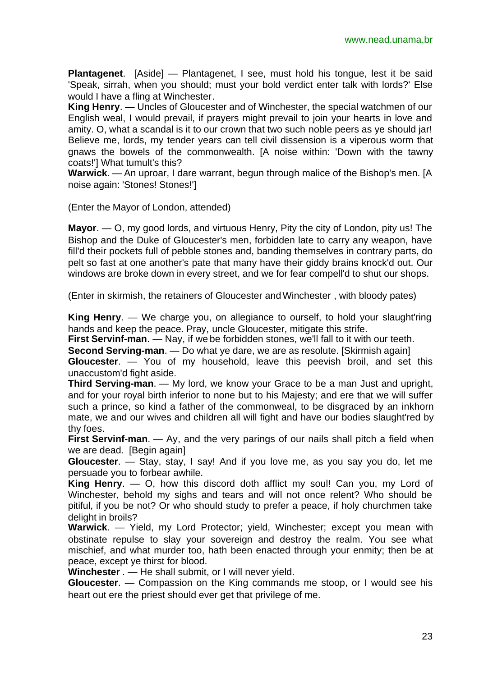**Plantagenet**. [Aside] — Plantagenet, I see, must hold his tongue, lest it be said 'Speak, sirrah, when you should; must your bold verdict enter talk with lords?' Else would I have a fling at Winchester.

**King Henry**. — Uncles of Gloucester and of Winchester, the special watchmen of our English weal, I would prevail, if prayers might prevail to join your hearts in love and amity. O, what a scandal is it to our crown that two such noble peers as ye should jar! Believe me, lords, my tender years can tell civil dissension is a viperous worm that gnaws the bowels of the commonwealth. [A noise within: 'Down with the tawny coats!'] What tumult's this?

**Warwick**. — An uproar, I dare warrant, begun through malice of the Bishop's men. [A noise again: 'Stones! Stones!']

(Enter the Mayor of London, attended)

**Mayor**. — O, my good lords, and virtuous Henry, Pity the city of London, pity us! The Bishop and the Duke of Gloucester's men, forbidden late to carry any weapon, have fill'd their pockets full of pebble stones and, banding themselves in contrary parts, do pelt so fast at one another's pate that many have their giddy brains knock'd out. Our windows are broke down in every street, and we for fear compell'd to shut our shops.

(Enter in skirmish, the retainers of Gloucester and Winchester , with bloody pates)

**King Henry**. — We charge you, on allegiance to ourself, to hold your slaught'ring hands and keep the peace. Pray, uncle Gloucester, mitigate this strife.

**First Servinf-man**. — Nay, if we be forbidden stones, we'll fall to it with our teeth.

**Second Serving-man**. — Do what ye dare, we are as resolute. [Skirmish again]

**Gloucester**. — You of my household, leave this peevish broil, and set this unaccustom'd fight aside.

**Third Serving-man**. — My lord, we know your Grace to be a man Just and upright, and for your royal birth inferior to none but to his Majesty; and ere that we will suffer such a prince, so kind a father of the commonweal, to be disgraced by an inkhorn mate, we and our wives and children all will fight and have our bodies slaught'red by thy foes.

**First Servinf-man**. — Ay, and the very parings of our nails shall pitch a field when we are dead. [Begin again]

**Gloucester**. — Stay, stay, I say! And if you love me, as you say you do, let me persuade you to forbear awhile.

**King Henry**. — O, how this discord doth afflict my soul! Can you, my Lord of Winchester, behold my sighs and tears and will not once relent? Who should be pitiful, if you be not? Or who should study to prefer a peace, if holy churchmen take delight in broils?

**Warwick**. — Yield, my Lord Protector; yield, Winchester; except you mean with obstinate repulse to slay your sovereign and destroy the realm. You see what mischief, and what murder too, hath been enacted through your enmity; then be at peace, except ye thirst for blood.

**Winchester** . — He shall submit, or I will never yield.

**Gloucester**. — Compassion on the King commands me stoop, or I would see his heart out ere the priest should ever get that privilege of me.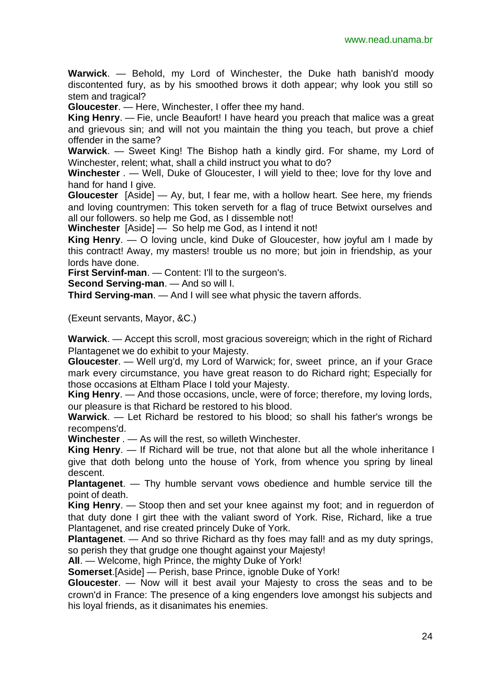**Warwick**. — Behold, my Lord of Winchester, the Duke hath banish'd moody discontented fury, as by his smoothed brows it doth appear; why look you still so stem and tragical?

**Gloucester**. — Here, Winchester, I offer thee my hand.

**King Henry**. — Fie, uncle Beaufort! I have heard you preach that malice was a great and grievous sin; and will not you maintain the thing you teach, but prove a chief offender in the same?

**Warwick**. — Sweet King! The Bishop hath a kindly gird. For shame, my Lord of Winchester, relent; what, shall a child instruct you what to do?

**Winchester** . — Well, Duke of Gloucester, I will yield to thee; love for thy love and hand for hand I give.

**Gloucester** [Aside] — Ay, but, I fear me, with a hollow heart. See here, my friends and loving countrymen: This token serveth for a flag of truce Betwixt ourselves and all our followers. so help me God, as I dissemble not!

**Winchester** [Aside] — So help me God, as I intend it not!

**King Henry**. — O loving uncle, kind Duke of Gloucester, how joyful am I made by this contract! Away, my masters! trouble us no more; but join in friendship, as your lords have done.

**First Servinf-man**. — Content: I'll to the surgeon's.

**Second Serving-man**. — And so will I.

**Third Serving-man**. — And I will see what physic the tavern affords.

(Exeunt servants, Mayor, &C.)

**Warwick**. — Accept this scroll, most gracious sovereign; which in the right of Richard Plantagenet we do exhibit to your Majesty.

**Gloucester**. — Well urg'd, my Lord of Warwick; for, sweet prince, an if your Grace mark every circumstance, you have great reason to do Richard right; Especially for those occasions at Eltham Place I told your Majesty.

**King Henry**. — And those occasions, uncle, were of force; therefore, my loving lords, our pleasure is that Richard be restored to his blood.

**Warwick**. — Let Richard be restored to his blood; so shall his father's wrongs be recompens'd.

**Winchester** . — As will the rest, so willeth Winchester.

**King Henry**. — If Richard will be true, not that alone but all the whole inheritance I give that doth belong unto the house of York, from whence you spring by lineal descent.

**Plantagenet**. — Thy humble servant vows obedience and humble service till the point of death.

**King Henry**. — Stoop then and set your knee against my foot; and in reguerdon of that duty done I girt thee with the valiant sword of York. Rise, Richard, like a true Plantagenet, and rise created princely Duke of York.

**Plantagenet**. — And so thrive Richard as thy foes may fall! and as my duty springs, so perish they that grudge one thought against your Majesty!

**All**. — Welcome, high Prince, the mighty Duke of York!

**Somerset**.[Aside] — Perish, base Prince, ignoble Duke of York!

**Gloucester**. — Now will it best avail your Majesty to cross the seas and to be crown'd in France: The presence of a king engenders love amongst his subjects and his loyal friends, as it disanimates his enemies.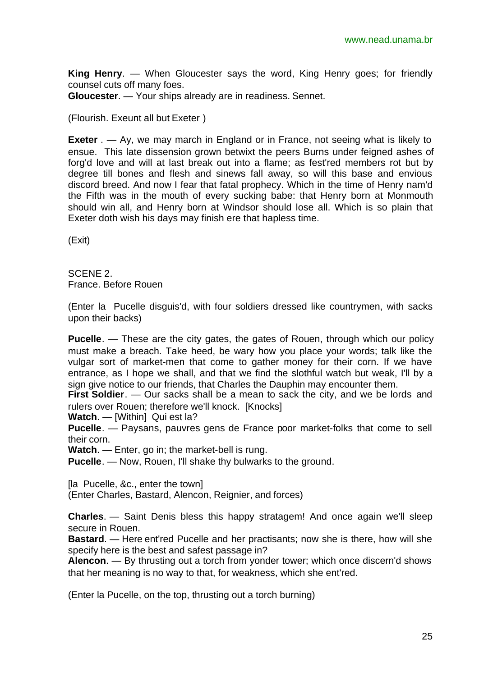**King Henry**. — When Gloucester says the word, King Henry goes; for friendly counsel cuts off many foes.

**Gloucester**. — Your ships already are in readiness. Sennet.

(Flourish. Exeunt all but Exeter )

**Exeter** . — Ay, we may march in England or in France, not seeing what is likely to ensue. This late dissension grown betwixt the peers Burns under feigned ashes of forg'd love and will at last break out into a flame; as fest'red members rot but by degree till bones and flesh and sinews fall away, so will this base and envious discord breed. And now I fear that fatal prophecy. Which in the time of Henry nam'd the Fifth was in the mouth of every sucking babe: that Henry born at Monmouth should win all, and Henry born at Windsor should lose all. Which is so plain that Exeter doth wish his days may finish ere that hapless time.

(Exit)

SCENE 2. France. Before Rouen

(Enter la Pucelle disguis'd, with four soldiers dressed like countrymen, with sacks upon their backs)

**Pucelle**. — These are the city gates, the gates of Rouen, through which our policy must make a breach. Take heed, be wary how you place your words; talk like the vulgar sort of market-men that come to gather money for their corn. If we have entrance, as I hope we shall, and that we find the slothful watch but weak, I'll by a sign give notice to our friends, that Charles the Dauphin may encounter them.

**First Soldier**. — Our sacks shall be a mean to sack the city, and we be lords and rulers over Rouen; therefore we'll knock. [Knocks]

**Watch**. — [Within] Qui est la?

**Pucelle**. — Paysans, pauvres gens de France poor market-folks that come to sell their corn.

**Watch**. — Enter, go in; the market-bell is rung.

**Pucelle**. — Now, Rouen, I'll shake thy bulwarks to the ground.

[la Pucelle, &c., enter the town]

(Enter Charles, Bastard, Alencon, Reignier, and forces)

**Charles**. — Saint Denis bless this happy stratagem! And once again we'll sleep secure in Rouen.

**Bastard**. — Here ent'red Pucelle and her practisants; now she is there, how will she specify here is the best and safest passage in?

**Alencon**. — By thrusting out a torch from yonder tower; which once discern'd shows that her meaning is no way to that, for weakness, which she ent'red.

(Enter la Pucelle, on the top, thrusting out a torch burning)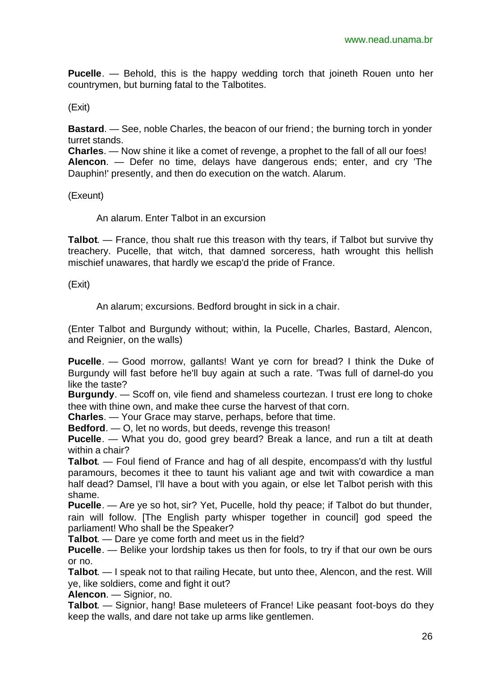**Pucelle**. — Behold, this is the happy wedding torch that joineth Rouen unto her countrymen, but burning fatal to the Talbotites.

(Exit)

**Bastard.** — See, noble Charles, the beacon of our friend; the burning torch in yonder turret stands.

**Charles**. — Now shine it like a comet of revenge, a prophet to the fall of all our foes! **Alencon**. — Defer no time, delays have dangerous ends; enter, and cry 'The Dauphin!' presently, and then do execution on the watch. Alarum.

(Exeunt)

An alarum. Enter Talbot in an excursion

**Talbot**. — France, thou shalt rue this treason with thy tears, if Talbot but survive thy treachery. Pucelle, that witch, that damned sorceress, hath wrought this hellish mischief unawares, that hardly we escap'd the pride of France.

(Exit)

An alarum; excursions. Bedford brought in sick in a chair.

(Enter Talbot and Burgundy without; within, la Pucelle, Charles, Bastard, Alencon, and Reignier, on the walls)

**Pucelle**. — Good morrow, gallants! Want ye corn for bread? I think the Duke of Burgundy will fast before he'll buy again at such a rate. 'Twas full of darnel-do you like the taste?

**Burgundy**. — Scoff on, vile fiend and shameless courtezan. I trust ere long to choke thee with thine own, and make thee curse the harvest of that corn.

**Charles**. — Your Grace may starve, perhaps, before that time.

**Bedford**. — O, let no words, but deeds, revenge this treason!

**Pucelle**. — What you do, good grey beard? Break a lance, and run a tilt at death within a chair?

**Talbot**. — Foul fiend of France and hag of all despite, encompass'd with thy lustful paramours, becomes it thee to taunt his valiant age and twit with cowardice a man half dead? Damsel, I'll have a bout with you again, or else let Talbot perish with this shame.

**Pucelle**. — Are ye so hot, sir? Yet, Pucelle, hold thy peace; if Talbot do but thunder, rain will follow. [The English party whisper together in council] god speed the parliament! Who shall be the Speaker?

**Talbot**. — Dare ye come forth and meet us in the field?

**Pucelle**. — Belike your lordship takes us then for fools, to try if that our own be ours or no.

**Talbot**. — I speak not to that railing Hecate, but unto thee, Alencon, and the rest. Will ye, like soldiers, come and fight it out?

**Alencon**. — Signior, no.

**Talbot**. — Signior, hang! Base muleteers of France! Like peasant foot-boys do they keep the walls, and dare not take up arms like gentlemen.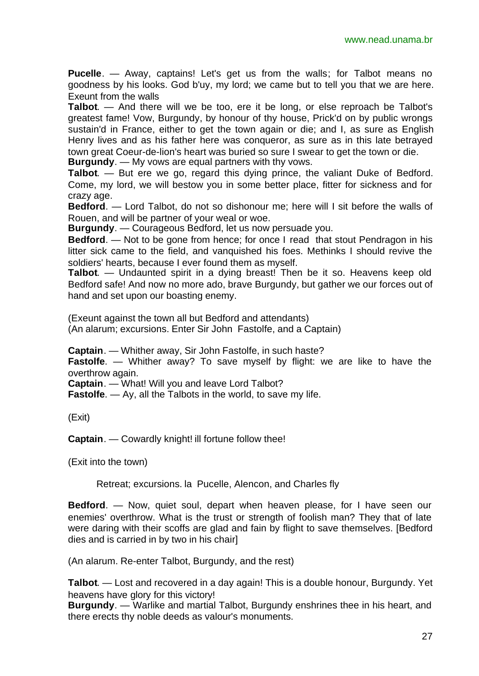**Pucelle**. — Away, captains! Let's get us from the walls; for Talbot means no goodness by his looks. God b'uy, my lord; we came but to tell you that we are here. Exeunt from the walls

**Talbot**. — And there will we be too, ere it be long, or else reproach be Talbot's greatest fame! Vow, Burgundy, by honour of thy house, Prick'd on by public wrongs sustain'd in France, either to get the town again or die; and I, as sure as English Henry lives and as his father here was conqueror, as sure as in this late betrayed town great Coeur-de-lion's heart was buried so sure I swear to get the town or die.

**Burgundy**. — My vows are equal partners with thy vows.

**Talbot**. — But ere we go, regard this dying prince, the valiant Duke of Bedford. Come, my lord, we will bestow you in some better place, fitter for sickness and for crazy age.

**Bedford**. — Lord Talbot, do not so dishonour me; here will I sit before the walls of Rouen, and will be partner of your weal or woe.

**Burgundy**. — Courageous Bedford, let us now persuade you.

**Bedford**. — Not to be gone from hence; for once I read that stout Pendragon in his litter sick came to the field, and vanquished his foes. Methinks I should revive the soldiers' hearts, because I ever found them as myself.

**Talbot**. — Undaunted spirit in a dying breast! Then be it so. Heavens keep old Bedford safe! And now no more ado, brave Burgundy, but gather we our forces out of hand and set upon our boasting enemy.

(Exeunt against the town all but Bedford and attendants)

(An alarum; excursions. Enter Sir John Fastolfe, and a Captain)

**Captain**. — Whither away, Sir John Fastolfe, in such haste?

**Fastolfe.** — Whither away? To save myself by flight: we are like to have the overthrow again.

**Captain**. — What! Will you and leave Lord Talbot?

**Fastolfe**. — Ay, all the Talbots in the world, to save my life.

(Exit)

**Captain**. — Cowardly knight! ill fortune follow thee!

(Exit into the town)

Retreat; excursions. la Pucelle, Alencon, and Charles fly

**Bedford**. — Now, quiet soul, depart when heaven please, for I have seen our enemies' overthrow. What is the trust or strength of foolish man? They that of late were daring with their scoffs are glad and fain by flight to save themselves. [Bedford dies and is carried in by two in his chair]

(An alarum. Re-enter Talbot, Burgundy, and the rest)

**Talbot**. — Lost and recovered in a day again! This is a double honour, Burgundy. Yet heavens have glory for this victory!

**Burgundy**. — Warlike and martial Talbot, Burgundy enshrines thee in his heart, and there erects thy noble deeds as valour's monuments.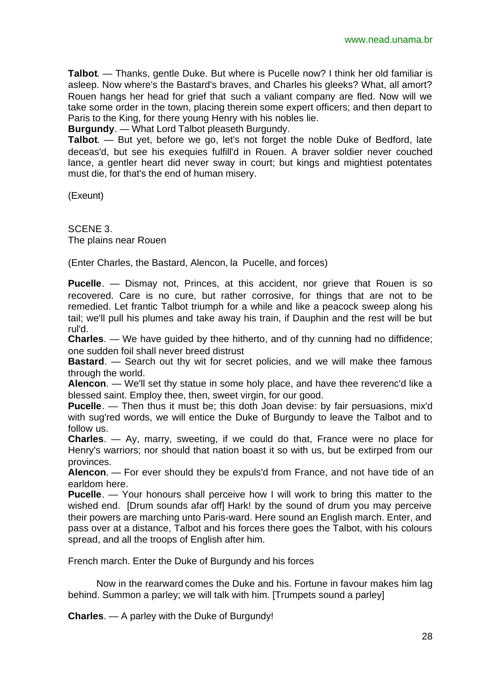**Talbot**. — Thanks, gentle Duke. But where is Pucelle now? I think her old familiar is asleep. Now where's the Bastard's braves, and Charles his gleeks? What, all amort? Rouen hangs her head for grief that such a valiant company are fled. Now will we take some order in the town, placing therein some expert officers; and then depart to Paris to the King, for there young Henry with his nobles lie.

**Burgundy**. — What Lord Talbot pleaseth Burgundy.

**Talbot**. — But yet, before we go, let's not forget the noble Duke of Bedford, late deceas'd, but see his exequies fulfill'd in Rouen. A braver soldier never couched lance, a gentler heart did never sway in court; but kings and mightiest potentates must die, for that's the end of human misery.

(Exeunt)

SCENE 3. The plains near Rouen

(Enter Charles, the Bastard, Alencon, la Pucelle, and forces)

**Pucelle**. — Dismay not, Princes, at this accident, nor grieve that Rouen is so recovered. Care is no cure, but rather corrosive, for things that are not to be remedied. Let frantic Talbot triumph for a while and like a peacock sweep along his tail; we'll pull his plumes and take away his train, if Dauphin and the rest will be but rul'd.

**Charles**. — We have guided by thee hitherto, and of thy cunning had no diffidence; one sudden foil shall never breed distrust

**Bastard**. — Search out thy wit for secret policies, and we will make thee famous through the world.

**Alencon**. — We'll set thy statue in some holy place, and have thee reverenc'd like a blessed saint. Employ thee, then, sweet virgin, for our good.

**Pucelle**. — Then thus it must be; this doth Joan devise: by fair persuasions, mix'd with sug'red words, we will entice the Duke of Burgundy to leave the Talbot and to follow us.

**Charles**. — Ay, marry, sweeting, if we could do that, France were no place for Henry's warriors; nor should that nation boast it so with us, but be extirped from our provinces.

**Alencon**. — For ever should they be expuls'd from France, and not have tide of an earldom here.

**Pucelle**. — Your honours shall perceive how I will work to bring this matter to the wished end. [Drum sounds afar off] Hark! by the sound of drum you may perceive their powers are marching unto Paris-ward. Here sound an English march. Enter, and pass over at a distance, Talbot and his forces there goes the Talbot, with his colours spread, and all the troops of English after him.

French march. Enter the Duke of Burgundy and his forces

Now in the rearward comes the Duke and his. Fortune in favour makes him lag behind. Summon a parley; we will talk with him. [Trumpets sound a parley]

**Charles**. — A parley with the Duke of Burgundy!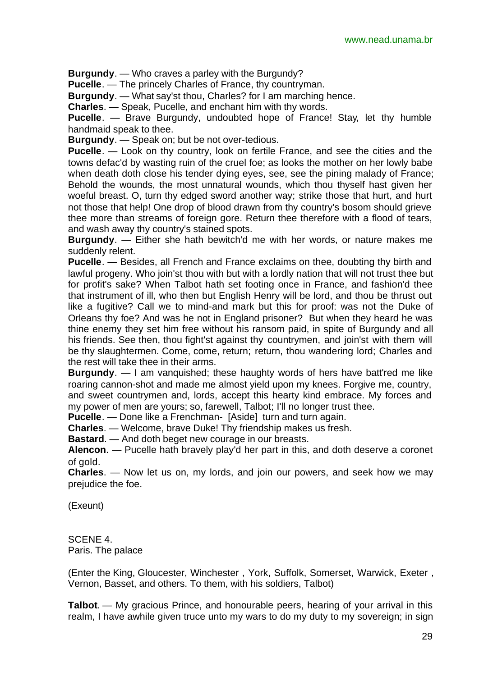**Burgundy**. — Who craves a parley with the Burgundy?

**Pucelle**. — The princely Charles of France, thy countryman.

**Burgundy**. — What say'st thou, Charles? for I am marching hence.

**Charles**. — Speak, Pucelle, and enchant him with thy words.

**Pucelle**. — Brave Burgundy, undoubted hope of France! Stay, let thy humble handmaid speak to thee.

**Burgundy**. — Speak on; but be not over-tedious.

**Pucelle**. — Look on thy country, look on fertile France, and see the cities and the towns defac'd by wasting ruin of the cruel foe; as looks the mother on her lowly babe when death doth close his tender dying eyes, see, see the pining malady of France; Behold the wounds, the most unnatural wounds, which thou thyself hast given her woeful breast. O, turn thy edged sword another way; strike those that hurt, and hurt not those that help! One drop of blood drawn from thy country's bosom should grieve thee more than streams of foreign gore. Return thee therefore with a flood of tears, and wash away thy country's stained spots.

**Burgundy**. — Either she hath bewitch'd me with her words, or nature makes me suddenly relent.

**Pucelle**. — Besides, all French and France exclaims on thee, doubting thy birth and lawful progeny. Who join'st thou with but with a lordly nation that will not trust thee but for profit's sake? When Talbot hath set footing once in France, and fashion'd thee that instrument of ill, who then but English Henry will be lord, and thou be thrust out like a fugitive? Call we to mind-and mark but this for proof: was not the Duke of Orleans thy foe? And was he not in England prisoner? But when they heard he was thine enemy they set him free without his ransom paid, in spite of Burgundy and all his friends. See then, thou fight'st against thy countrymen, and join'st with them will be thy slaughtermen. Come, come, return; return, thou wandering lord; Charles and the rest will take thee in their arms.

**Burgundy**. — I am vanquished; these haughty words of hers have batt'red me like roaring cannon-shot and made me almost yield upon my knees. Forgive me, country, and sweet countrymen and, lords, accept this hearty kind embrace. My forces and my power of men are yours; so, farewell, Talbot; I'll no longer trust thee.

**Pucelle**. — Done like a Frenchman- [Aside] turn and turn again.

**Charles**. — Welcome, brave Duke! Thy friendship makes us fresh.

**Bastard**. — And doth beget new courage in our breasts.

**Alencon**. — Pucelle hath bravely play'd her part in this, and doth deserve a coronet of gold.

**Charles**. — Now let us on, my lords, and join our powers, and seek how we may prejudice the foe.

(Exeunt)

SCENE 4. Paris. The palace

(Enter the King, Gloucester, Winchester , York, Suffolk, Somerset, Warwick, Exeter , Vernon, Basset, and others. To them, with his soldiers, Talbot)

**Talbot**. — My gracious Prince, and honourable peers, hearing of your arrival in this realm, I have awhile given truce unto my wars to do my duty to my sovereign; in sign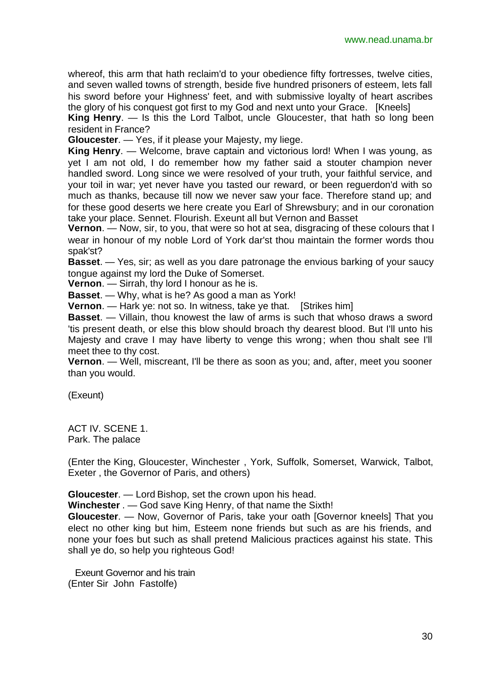whereof, this arm that hath reclaim'd to your obedience fifty fortresses, twelve cities, and seven walled towns of strength, beside five hundred prisoners of esteem, lets fall his sword before your Highness' feet, and with submissive loyalty of heart ascribes the glory of his conquest got first to my God and next unto your Grace. [Kneels]

**King Henry**. — Is this the Lord Talbot, uncle Gloucester, that hath so long been resident in France?

**Gloucester**. — Yes, if it please your Majesty, my liege.

**King Henry**. — Welcome, brave captain and victorious lord! When I was young, as yet I am not old, I do remember how my father said a stouter champion never handled sword. Long since we were resolved of your truth, your faithful service, and your toil in war; yet never have you tasted our reward, or been reguerdon'd with so much as thanks, because till now we never saw your face. Therefore stand up; and for these good deserts we here create you Earl of Shrewsbury; and in our coronation take your place. Sennet. Flourish. Exeunt all but Vernon and Basset

**Vernon**. — Now, sir, to you, that were so hot at sea, disgracing of these colours that I wear in honour of my noble Lord of York dar'st thou maintain the former words thou spak'st?

**Basset**. — Yes, sir; as well as you dare patronage the envious barking of your saucy tongue against my lord the Duke of Somerset.

**Vernon**. — Sirrah, thy lord I honour as he is.

**Basset**. — Why, what is he? As good a man as York!

**Vernon.** — Hark ye: not so. In witness, take ye that. [Strikes him]

**Basset**. — Villain, thou knowest the law of arms is such that whoso draws a sword 'tis present death, or else this blow should broach thy dearest blood. But I'll unto his Majesty and crave I may have liberty to venge this wrong; when thou shalt see I'll meet thee to thy cost.

**Vernon**. — Well, miscreant, I'll be there as soon as you; and, after, meet you sooner than you would.

(Exeunt)

ACT IV. SCENE 1. Park. The palace

(Enter the King, Gloucester, Winchester , York, Suffolk, Somerset, Warwick, Talbot, Exeter , the Governor of Paris, and others)

**Gloucester**. — Lord Bishop, set the crown upon his head.

**Winchester** . — God save King Henry, of that name the Sixth!

**Gloucester**. — Now, Governor of Paris, take your oath [Governor kneels] That you elect no other king but him, Esteem none friends but such as are his friends, and none your foes but such as shall pretend Malicious practices against his state. This shall ye do, so help you righteous God!

Exeunt Governor and his train (Enter Sir John Fastolfe)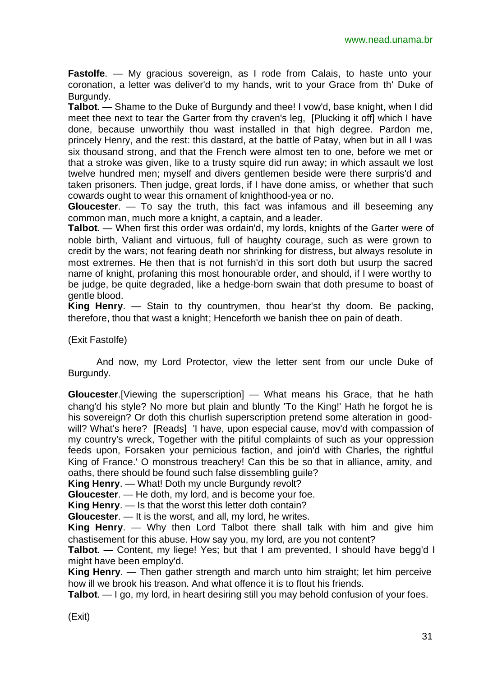**Fastolfe**. — My gracious sovereign, as I rode from Calais, to haste unto your coronation, a letter was deliver'd to my hands, writ to your Grace from th' Duke of Burgundy.

**Talbot**. — Shame to the Duke of Burgundy and thee! I vow'd, base knight, when I did meet thee next to tear the Garter from thy craven's leg, [Plucking it off] which I have done, because unworthily thou wast installed in that high degree. Pardon me, princely Henry, and the rest: this dastard, at the battle of Patay, when but in all I was six thousand strong, and that the French were almost ten to one, before we met or that a stroke was given, like to a trusty squire did run away; in which assault we lost twelve hundred men; myself and divers gentlemen beside were there surpris'd and taken prisoners. Then judge, great lords, if I have done amiss, or whether that such cowards ought to wear this ornament of knighthood-yea or no.

**Gloucester**. — To say the truth, this fact was infamous and ill beseeming any common man, much more a knight, a captain, and a leader.

**Talbot**. — When first this order was ordain'd, my lords, knights of the Garter were of noble birth, Valiant and virtuous, full of haughty courage, such as were grown to credit by the wars; not fearing death nor shrinking for distress, but always resolute in most extremes. He then that is not furnish'd in this sort doth but usurp the sacred name of knight, profaning this most honourable order, and should, if I were worthy to be judge, be quite degraded, like a hedge-born swain that doth presume to boast of gentle blood.

**King Henry**. — Stain to thy countrymen, thou hear'st thy doom. Be packing, therefore, thou that wast a knight; Henceforth we banish thee on pain of death.

(Exit Fastolfe)

And now, my Lord Protector, view the letter sent from our uncle Duke of Burgundy.

**Gloucester**.[Viewing the superscription] — What means his Grace, that he hath chang'd his style? No more but plain and bluntly 'To the King!' Hath he forgot he is his sovereign? Or doth this churlish superscription pretend some alteration in goodwill? What's here? [Reads] 'I have, upon especial cause, mov'd with compassion of my country's wreck, Together with the pitiful complaints of such as your oppression feeds upon, Forsaken your pernicious faction, and join'd with Charles, the rightful King of France.' O monstrous treachery! Can this be so that in alliance, amity, and oaths, there should be found such false dissembling quile?

**King Henry**. — What! Doth my uncle Burgundy revolt?

**Gloucester**. — He doth, my lord, and is become your foe.

**King Henry**. — Is that the worst this letter doth contain?

**Gloucester**. — It is the worst, and all, my lord, he writes.

**King Henry**. — Why then Lord Talbot there shall talk with him and give him chastisement for this abuse. How say you, my lord, are you not content?

**Talbot**. — Content, my liege! Yes; but that I am prevented, I should have begg'd I might have been employ'd.

**King Henry**. — Then gather strength and march unto him straight; let him perceive how ill we brook his treason. And what offence it is to flout his friends.

**Talbot**. — I go, my lord, in heart desiring still you may behold confusion of your foes.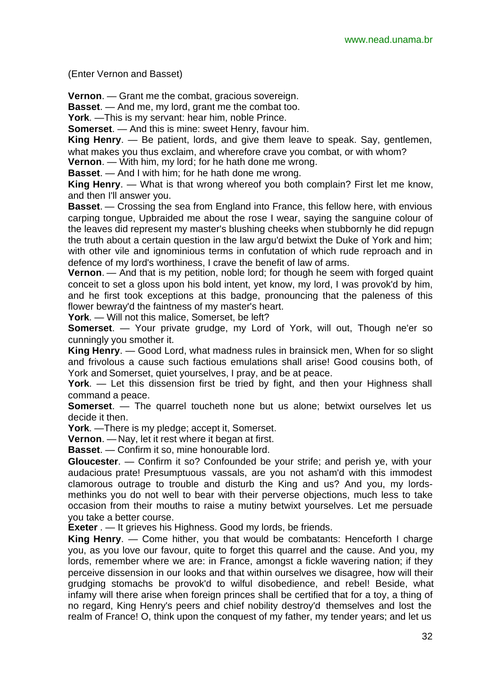(Enter Vernon and Basset)

**Vernon**. — Grant me the combat, gracious sovereign.

**Basset**. — And me, my lord, grant me the combat too.

**York**. —This is my servant: hear him, noble Prince.

**Somerset**. — And this is mine: sweet Henry, favour him.

**King Henry**. — Be patient, lords, and give them leave to speak. Say, gentlemen, what makes you thus exclaim, and wherefore crave you combat, or with whom?

**Vernon**. — With him, my lord; for he hath done me wrong.

**Basset**. — And I with him; for he hath done me wrong.

**King Henry**. — What is that wrong whereof you both complain? First let me know, and then I'll answer you.

**Basset**. — Crossing the sea from England into France, this fellow here, with envious carping tongue, Upbraided me about the rose I wear, saying the sanguine colour of the leaves did represent my master's blushing cheeks when stubbornly he did repugn the truth about a certain question in the law argu'd betwixt the Duke of York and him; with other vile and ignominious terms in confutation of which rude reproach and in defence of my lord's worthiness, I crave the benefit of law of arms.

**Vernon.** — And that is my petition, noble lord; for though he seem with forged quaint conceit to set a gloss upon his bold intent, yet know, my lord, I was provok'd by him, and he first took exceptions at this badge, pronouncing that the paleness of this flower bewray'd the faintness of my master's heart.

**York**. — Will not this malice, Somerset, be left?

**Somerset**. — Your private grudge, my Lord of York, will out, Though ne'er so cunningly you smother it.

**King Henry**. — Good Lord, what madness rules in brainsick men, When for so slight and frivolous a cause such factious emulations shall arise! Good cousins both, of York and Somerset, quiet yourselves, I pray, and be at peace.

**York**. — Let this dissension first be tried by fight, and then your Highness shall command a peace.

**Somerset**. — The quarrel toucheth none but us alone; betwixt ourselves let us decide it then.

**York**. —There is my pledge; accept it, Somerset.

**Vernon**. — Nay, let it rest where it began at first.

**Basset**. — Confirm it so, mine honourable lord.

**Gloucester**. — Confirm it so? Confounded be your strife; and perish ye, with your audacious prate! Presumptuous vassals, are you not asham'd with this immodest clamorous outrage to trouble and disturb the King and us? And you, my lordsmethinks you do not well to bear with their perverse objections, much less to take occasion from their mouths to raise a mutiny betwixt yourselves. Let me persuade you take a better course.

**Exeter** . — It grieves his Highness. Good my lords, be friends.

**King Henry**. — Come hither, you that would be combatants: Henceforth I charge you, as you love our favour, quite to forget this quarrel and the cause. And you, my lords, remember where we are: in France, amongst a fickle wavering nation; if they perceive dissension in our looks and that within ourselves we disagree, how will their grudging stomachs be provok'd to wilful disobedience, and rebel! Beside, what infamy will there arise when foreign princes shall be certified that for a toy, a thing of no regard, King Henry's peers and chief nobility destroy'd themselves and lost the realm of France! O, think upon the conquest of my father, my tender years; and let us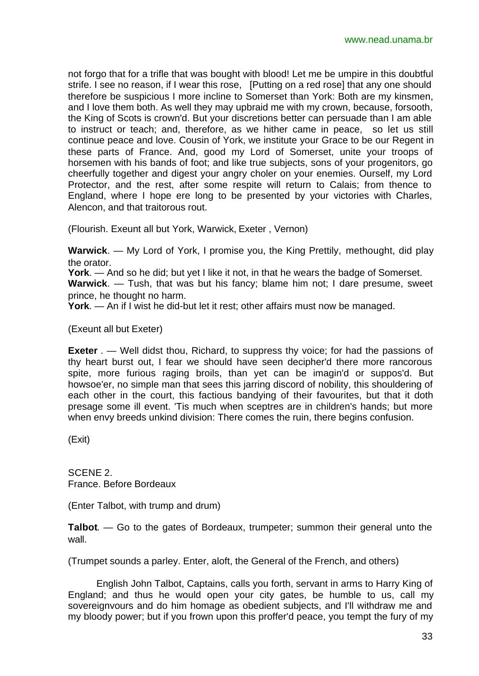not forgo that for a trifle that was bought with blood! Let me be umpire in this doubtful strife. I see no reason, if I wear this rose, [Putting on a red rose] that any one should therefore be suspicious I more incline to Somerset than York: Both are my kinsmen, and I love them both. As well they may upbraid me with my crown, because, forsooth, the King of Scots is crown'd. But your discretions better can persuade than I am able to instruct or teach; and, therefore, as we hither came in peace, so let us still continue peace and love. Cousin of York, we institute your Grace to be our Regent in these parts of France. And, good my Lord of Somerset, unite your troops of horsemen with his bands of foot; and like true subjects, sons of your progenitors, go cheerfully together and digest your angry choler on your enemies. Ourself, my Lord Protector, and the rest, after some respite will return to Calais; from thence to England, where I hope ere long to be presented by your victories with Charles, Alencon, and that traitorous rout.

(Flourish. Exeunt all but York, Warwick, Exeter , Vernon)

**Warwick**. — My Lord of York, I promise you, the King Prettily, methought, did play the orator.

**York**. — And so he did; but yet I like it not, in that he wears the badge of Somerset.

**Warwick**. — Tush, that was but his fancy; blame him not; I dare presume, sweet prince, he thought no harm.

**York**. — An if I wist he did-but let it rest; other affairs must now be managed.

(Exeunt all but Exeter)

**Exeter** . — Well didst thou, Richard, to suppress thy voice; for had the passions of thy heart burst out, I fear we should have seen decipher'd there more rancorous spite, more furious raging broils, than yet can be imagin'd or suppos'd. But howsoe'er, no simple man that sees this jarring discord of nobility, this shouldering of each other in the court, this factious bandying of their favourites, but that it doth presage some ill event. 'Tis much when sceptres are in children's hands; but more when envy breeds unkind division: There comes the ruin, there begins confusion.

(Exit)

SCENE 2. France. Before Bordeaux

(Enter Talbot, with trump and drum)

**Talbot**. — Go to the gates of Bordeaux, trumpeter; summon their general unto the wall.

(Trumpet sounds a parley. Enter, aloft, the General of the French, and others)

English John Talbot, Captains, calls you forth, servant in arms to Harry King of England; and thus he would open your city gates, be humble to us, call my sovereignvours and do him homage as obedient subjects, and I'll withdraw me and my bloody power; but if you frown upon this proffer'd peace, you tempt the fury of my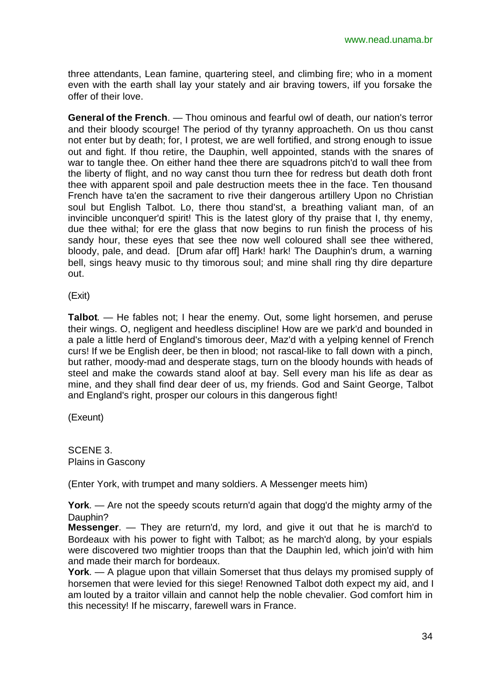three attendants, Lean famine, quartering steel, and climbing fire; who in a moment even with the earth shall lay your stately and air braving towers, iIf you forsake the offer of their love.

**General of the French**. — Thou ominous and fearful owl of death, our nation's terror and their bloody scourge! The period of thy tyranny approacheth. On us thou canst not enter but by death; for, I protest, we are well fortified, and strong enough to issue out and fight. If thou retire, the Dauphin, well appointed, stands with the snares of war to tangle thee. On either hand thee there are squadrons pitch'd to wall thee from the liberty of flight, and no way canst thou turn thee for redress but death doth front thee with apparent spoil and pale destruction meets thee in the face. Ten thousand French have ta'en the sacrament to rive their dangerous artillery Upon no Christian soul but English Talbot. Lo, there thou stand'st, a breathing valiant man, of an invincible unconquer'd spirit! This is the latest glory of thy praise that I, thy enemy, due thee withal; for ere the glass that now begins to run finish the process of his sandy hour, these eyes that see thee now well coloured shall see thee withered, bloody, pale, and dead. [Drum afar off] Hark! hark! The Dauphin's drum, a warning bell, sings heavy music to thy timorous soul; and mine shall ring thy dire departure out.

(Exit)

**Talbot**. — He fables not; I hear the enemy. Out, some light horsemen, and peruse their wings. O, negligent and heedless discipline! How are we park'd and bounded in a pale a little herd of England's timorous deer, Maz'd with a yelping kennel of French curs! If we be English deer, be then in blood; not rascal-like to fall down with a pinch, but rather, moody-mad and desperate stags, turn on the bloody hounds with heads of steel and make the cowards stand aloof at bay. Sell every man his life as dear as mine, and they shall find dear deer of us, my friends. God and Saint George, Talbot and England's right, prosper our colours in this dangerous fight!

(Exeunt)

SCENE 3. Plains in Gascony

(Enter York, with trumpet and many soldiers. A Messenger meets him)

**York**. — Are not the speedy scouts return'd again that dogg'd the mighty army of the Dauphin?

**Messenger**. — They are return'd, my lord, and give it out that he is march'd to Bordeaux with his power to fight with Talbot; as he march'd along, by your espials were discovered two mightier troops than that the Dauphin led, which join'd with him and made their march for bordeaux.

**York**. — A plague upon that villain Somerset that thus delays my promised supply of horsemen that were levied for this siege! Renowned Talbot doth expect my aid, and I am louted by a traitor villain and cannot help the noble chevalier. God comfort him in this necessity! If he miscarry, farewell wars in France.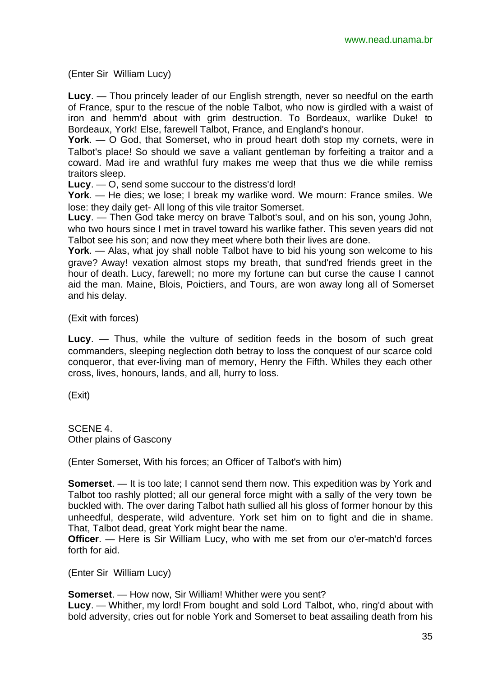(Enter Sir William Lucy)

**Lucy**. — Thou princely leader of our English strength, never so needful on the earth of France, spur to the rescue of the noble Talbot, who now is girdled with a waist of iron and hemm'd about with grim destruction. To Bordeaux, warlike Duke! to Bordeaux, York! Else, farewell Talbot, France, and England's honour.

**York**. — O God, that Somerset, who in proud heart doth stop my cornets, were in Talbot's place! So should we save a valiant gentleman by forfeiting a traitor and a coward. Mad ire and wrathful fury makes me weep that thus we die while remiss traitors sleep.

**Lucy**. — O, send some succour to the distress'd lord!

**York**. — He dies; we lose; I break my warlike word. We mourn: France smiles. We lose: they daily get- All long of this vile traitor Somerset.

**Lucy**. — Then God take mercy on brave Talbot's soul, and on his son, young John, who two hours since I met in travel toward his warlike father. This seven years did not Talbot see his son; and now they meet where both their lives are done.

**York**. — Alas, what joy shall noble Talbot have to bid his young son welcome to his grave? Away! vexation almost stops my breath, that sund'red friends greet in the hour of death. Lucy, farewell; no more my fortune can but curse the cause I cannot aid the man. Maine, Blois, Poictiers, and Tours, are won away long all of Somerset and his delay.

(Exit with forces)

**Lucy**. — Thus, while the vulture of sedition feeds in the bosom of such great commanders, sleeping neglection doth betray to loss the conquest of our scarce cold conqueror, that ever-living man of memory, Henry the Fifth. Whiles they each other cross, lives, honours, lands, and all, hurry to loss.

(Exit)

SCENE 4. Other plains of Gascony

(Enter Somerset, With his forces; an Officer of Talbot's with him)

**Somerset**. — It is too late; I cannot send them now. This expedition was by York and Talbot too rashly plotted; all our general force might with a sally of the very town be buckled with. The over daring Talbot hath sullied all his gloss of former honour by this unheedful, desperate, wild adventure. York set him on to fight and die in shame. That, Talbot dead, great York might bear the name.

**Officer.** — Here is Sir William Lucy, who with me set from our o'er-match'd forces forth for aid.

(Enter Sir William Lucy)

**Somerset**. — How now, Sir William! Whither were you sent?

**Lucy**. — Whither, my lord! From bought and sold Lord Talbot, who, ring'd about with bold adversity, cries out for noble York and Somerset to beat assailing death from his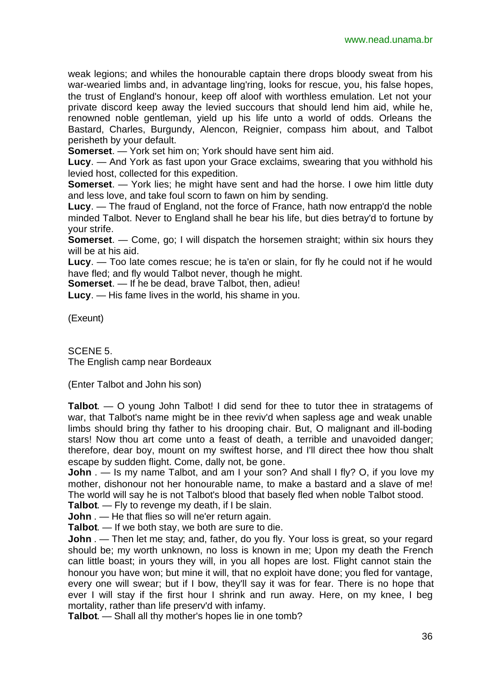weak legions; and whiles the honourable captain there drops bloody sweat from his war-wearied limbs and, in advantage ling'ring, looks for rescue, you, his false hopes, the trust of England's honour, keep off aloof with worthless emulation. Let not your private discord keep away the levied succours that should lend him aid, while he, renowned noble gentleman, yield up his life unto a world of odds. Orleans the Bastard, Charles, Burgundy, Alencon, Reignier, compass him about, and Talbot perisheth by your default.

**Somerset**. — York set him on; York should have sent him aid.

**Lucy**. — And York as fast upon your Grace exclaims, swearing that you withhold his levied host, collected for this expedition.

**Somerset**. — York lies; he might have sent and had the horse. I owe him little duty and less love, and take foul scorn to fawn on him by sending.

**Lucy**. — The fraud of England, not the force of France, hath now entrapp'd the noble minded Talbot. Never to England shall he bear his life, but dies betray'd to fortune by your strife.

**Somerset.** — Come, go; I will dispatch the horsemen straight; within six hours they will be at his aid.

**Lucy**. — Too late comes rescue; he is ta'en or slain, for fly he could not if he would have fled; and fly would Talbot never, though he might.

**Somerset**. — If he be dead, brave Talbot, then, adieu!

**Lucy**. — His fame lives in the world, his shame in you.

(Exeunt)

SCENE 5. The English camp near Bordeaux

(Enter Talbot and John his son)

**Talbot**. — O young John Talbot! I did send for thee to tutor thee in stratagems of war, that Talbot's name might be in thee reviv'd when sapless age and weak unable limbs should bring thy father to his drooping chair. But, O malignant and ill-boding stars! Now thou art come unto a feast of death, a terrible and unavoided danger; therefore, dear boy, mount on my swiftest horse, and I'll direct thee how thou shalt escape by sudden flight. Come, dally not, be gone.

**John** . — Is my name Talbot, and am I your son? And shall I fly? O, if you love my mother, dishonour not her honourable name, to make a bastard and a slave of me! The world will say he is not Talbot's blood that basely fled when noble Talbot stood.

**Talbot**. — Fly to revenge my death, if I be slain.

**John** . — He that flies so will ne'er return again.

**Talbot**. — If we both stay, we both are sure to die.

**John** . — Then let me stay; and, father, do you fly. Your loss is great, so your regard should be; my worth unknown, no loss is known in me; Upon my death the French can little boast; in yours they will, in you all hopes are lost. Flight cannot stain the honour you have won; but mine it will, that no exploit have done; you fled for vantage, every one will swear; but if I bow, they'll say it was for fear. There is no hope that ever I will stay if the first hour I shrink and run away. Here, on my knee, I beg mortality, rather than life preserv'd with infamy.

**Talbot**. — Shall all thy mother's hopes lie in one tomb?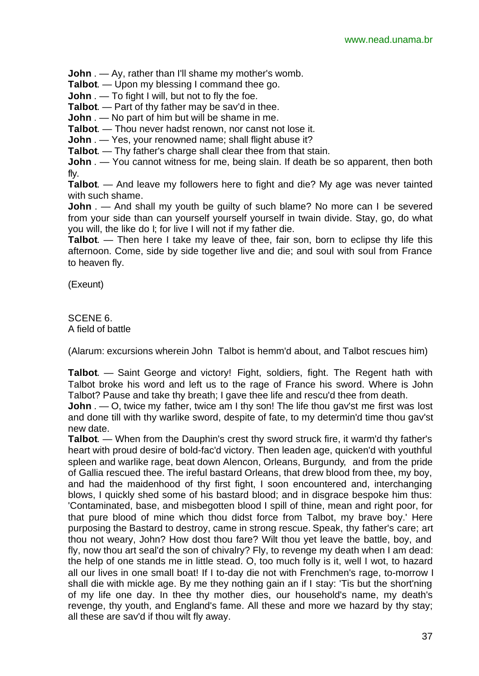**John** . — Ay, rather than I'll shame my mother's womb.

**Talbot**. — Upon my blessing I command thee go.

**John** . — To fight I will, but not to fly the foe.

**Talbot**. — Part of thy father may be sav'd in thee.

**John** . — No part of him but will be shame in me.

**Talbot**. — Thou never hadst renown, nor canst not lose it.

**John** . — Yes, your renowned name; shall flight abuse it?

**Talbot**. — Thy father's charge shall clear thee from that stain.

**John** . — You cannot witness for me, being slain. If death be so apparent, then both fly.

**Talbot**. — And leave my followers here to fight and die? My age was never tainted with such shame.

**John** . — And shall my youth be guilty of such blame? No more can I be severed from your side than can yourself yourself yourself in twain divide. Stay, go, do what you will, the like do I; for live I will not if my father die.

**Talbot**. — Then here I take my leave of thee, fair son, born to eclipse thy life this afternoon. Come, side by side together live and die; and soul with soul from France to heaven fly.

(Exeunt)

#### SCENE 6. A field of battle

(Alarum: excursions wherein John Talbot is hemm'd about, and Talbot rescues him)

**Talbot**. — Saint George and victory! Fight, soldiers, fight. The Regent hath with Talbot broke his word and left us to the rage of France his sword. Where is John Talbot? Pause and take thy breath; I gave thee life and rescu'd thee from death.

**John** . — O, twice my father, twice am I thy son! The life thou gav'st me first was lost and done till with thy warlike sword, despite of fate, to my determin'd time thou gav'st new date.

**Talbot**. — When from the Dauphin's crest thy sword struck fire, it warm'd thy father's heart with proud desire of bold-fac'd victory. Then leaden age, quicken'd with youthful spleen and warlike rage, beat down Alencon, Orleans, Burgundy, and from the pride of Gallia rescued thee. The ireful bastard Orleans, that drew blood from thee, my boy, and had the maidenhood of thy first fight, I soon encountered and, interchanging blows, I quickly shed some of his bastard blood; and in disgrace bespoke him thus: 'Contaminated, base, and misbegotten blood I spill of thine, mean and right poor, for that pure blood of mine which thou didst force from Talbot, my brave boy.' Here purposing the Bastard to destroy, came in strong rescue. Speak, thy father's care; art thou not weary, John? How dost thou fare? Wilt thou yet leave the battle, boy, and fly, now thou art seal'd the son of chivalry? Fly, to revenge my death when I am dead: the help of one stands me in little stead. O, too much folly is it, well I wot, to hazard all our lives in one small boat! If I to-day die not with Frenchmen's rage, to-morrow I shall die with mickle age. By me they nothing gain an if I stay: 'Tis but the short'ning of my life one day. In thee thy mother dies, our household's name, my death's revenge, thy youth, and England's fame. All these and more we hazard by thy stay; all these are sav'd if thou wilt fly away.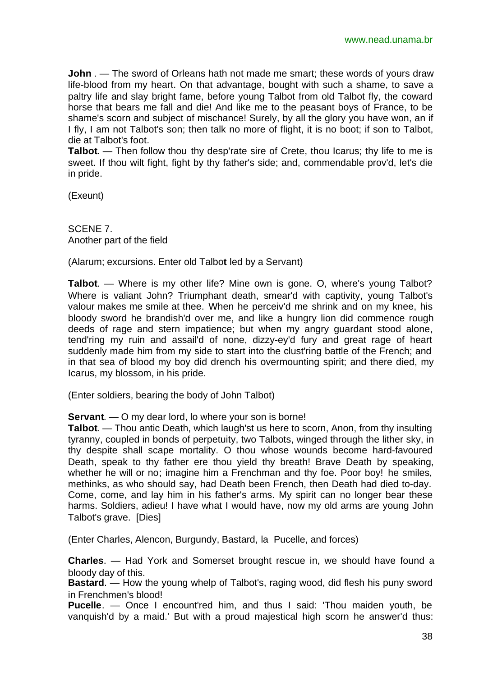**John** . — The sword of Orleans hath not made me smart; these words of yours draw life-blood from my heart. On that advantage, bought with such a shame, to save a paltry life and slay bright fame, before young Talbot from old Talbot fly, the coward horse that bears me fall and die! And like me to the peasant boys of France, to be shame's scorn and subject of mischance! Surely, by all the glory you have won, an if I fly, I am not Talbot's son; then talk no more of flight, it is no boot; if son to Talbot, die at Talbot's foot.

**Talbot.** — Then follow thou thy desp'rate sire of Crete, thou Icarus; thy life to me is sweet. If thou wilt fight, fight by thy father's side; and, commendable prov'd, let's die in pride.

(Exeunt)

SCENE 7. Another part of the field

(Alarum; excursions. Enter old Talbo**t** led by a Servant)

**Talbot**. — Where is my other life? Mine own is gone. O, where's young Talbot? Where is valiant John? Triumphant death, smear'd with captivity, young Talbot's valour makes me smile at thee. When he perceiv'd me shrink and on my knee, his bloody sword he brandish'd over me, and like a hungry lion did commence rough deeds of rage and stern impatience; but when my angry guardant stood alone, tend'ring my ruin and assail'd of none, dizzy-ey'd fury and great rage of heart suddenly made him from my side to start into the clust'ring battle of the French; and in that sea of blood my boy did drench his overmounting spirit; and there died, my Icarus, my blossom, in his pride.

(Enter soldiers, bearing the body of John Talbot)

**Servant**. — O my dear lord, lo where your son is borne!

**Talbot**. — Thou antic Death, which laugh'st us here to scorn, Anon, from thy insulting tyranny, coupled in bonds of perpetuity, two Talbots, winged through the lither sky, in thy despite shall scape mortality. O thou whose wounds become hard-favoured Death, speak to thy father ere thou yield thy breath! Brave Death by speaking, whether he will or no; imagine him a Frenchman and thy foe. Poor boy! he smiles, methinks, as who should say, had Death been French, then Death had died to-day. Come, come, and lay him in his father's arms. My spirit can no longer bear these harms. Soldiers, adieu! I have what I would have, now my old arms are young John Talbot's grave. [Dies]

(Enter Charles, Alencon, Burgundy, Bastard, la Pucelle, and forces)

**Charles**. — Had York and Somerset brought rescue in, we should have found a bloody day of this.

**Bastard**. — How the young whelp of Talbot's, raging wood, did flesh his puny sword in Frenchmen's blood!

**Pucelle**. — Once I encount'red him, and thus I said: 'Thou maiden youth, be vanquish'd by a maid.' But with a proud majestical high scorn he answer'd thus: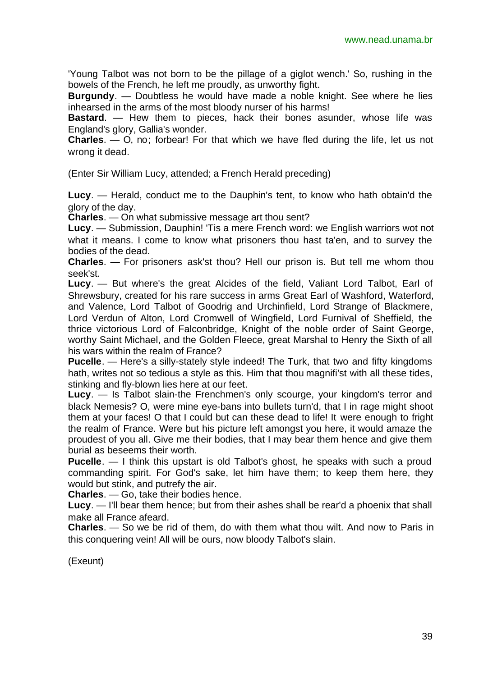'Young Talbot was not born to be the pillage of a giglot wench.' So, rushing in the bowels of the French, he left me proudly, as unworthy fight.

**Burgundy**. — Doubtless he would have made a noble knight. See where he lies inhearsed in the arms of the most bloody nurser of his harms!

**Bastard**. — Hew them to pieces, hack their bones asunder, whose life was England's glory, Gallia's wonder.

**Charles**. — O, no; forbear! For that which we have fled during the life, let us not wrong it dead.

(Enter Sir William Lucy, attended; a French Herald preceding)

**Lucy**. — Herald, conduct me to the Dauphin's tent, to know who hath obtain'd the glory of the day.

**Charles**. — On what submissive message art thou sent?

**Lucy**. — Submission, Dauphin! 'Tis a mere French word: we English warriors wot not what it means. I come to know what prisoners thou hast ta'en, and to survey the bodies of the dead.

**Charles**. — For prisoners ask'st thou? Hell our prison is. But tell me whom thou seek'st.

**Lucy**. — But where's the great Alcides of the field, Valiant Lord Talbot, Earl of Shrewsbury, created for his rare success in arms Great Earl of Washford, Waterford, and Valence, Lord Talbot of Goodrig and Urchinfield, Lord Strange of Blackmere, Lord Verdun of Alton, Lord Cromwell of Wingfield, Lord Furnival of Sheffield, the thrice victorious Lord of Falconbridge, Knight of the noble order of Saint George, worthy Saint Michael, and the Golden Fleece, great Marshal to Henry the Sixth of all his wars within the realm of France?

**Pucelle**. — Here's a silly-stately style indeed! The Turk, that two and fifty kingdoms hath, writes not so tedious a style as this. Him that thou magnifi'st with all these tides, stinking and fly-blown lies here at our feet.

**Lucy**. — Is Talbot slain-the Frenchmen's only scourge, your kingdom's terror and black Nemesis? O, were mine eye-bans into bullets turn'd, that I in rage might shoot them at your faces! O that I could but can these dead to life! It were enough to fright the realm of France. Were but his picture left amongst you here, it would amaze the proudest of you all. Give me their bodies, that I may bear them hence and give them burial as beseems their worth.

**Pucelle**. — I think this upstart is old Talbot's ghost, he speaks with such a proud commanding spirit. For God's sake, let him have them; to keep them here, they would but stink, and putrefy the air.

**Charles**. — Go, take their bodies hence.

**Lucy**. — I'll bear them hence; but from their ashes shall be rear'd a phoenix that shall make all France afeard.

**Charles**. — So we be rid of them, do with them what thou wilt. And now to Paris in this conquering vein! All will be ours, now bloody Talbot's slain.

(Exeunt)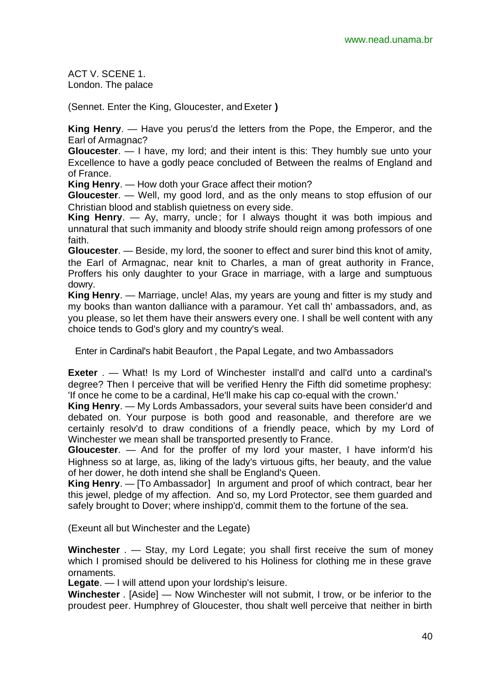ACT V. SCENE 1. London. The palace

(Sennet. Enter the King, Gloucester, and Exeter **)**

**King Henry**. — Have you perus'd the letters from the Pope, the Emperor, and the Earl of Armagnac?

**Gloucester**. — I have, my lord; and their intent is this: They humbly sue unto your Excellence to have a godly peace concluded of Between the realms of England and of France.

**King Henry**. — How doth your Grace affect their motion?

**Gloucester**. — Well, my good lord, and as the only means to stop effusion of our Christian blood and stablish quietness on every side.

**King Henry**. — Ay, marry, uncle; for I always thought it was both impious and unnatural that such immanity and bloody strife should reign among professors of one faith.

**Gloucester**. — Beside, my lord, the sooner to effect and surer bind this knot of amity, the Earl of Armagnac, near knit to Charles, a man of great authority in France, Proffers his only daughter to your Grace in marriage, with a large and sumptuous dowry.

**King Henry**. — Marriage, uncle! Alas, my years are young and fitter is my study and my books than wanton dalliance with a paramour. Yet call th' ambassadors, and, as you please, so let them have their answers every one. I shall be well content with any choice tends to God's glory and my country's weal.

Enter in Cardinal's habit Beaufort , the Papal Legate, and two Ambassadors

**Exeter** . — What! Is my Lord of Winchester install'd and call'd unto a cardinal's degree? Then I perceive that will be verified Henry the Fifth did sometime prophesy: 'If once he come to be a cardinal, He'll make his cap co-equal with the crown.'

**King Henry**. — My Lords Ambassadors, your several suits have been consider'd and debated on. Your purpose is both good and reasonable, and therefore are we certainly resolv'd to draw conditions of a friendly peace, which by my Lord of Winchester we mean shall be transported presently to France.

**Gloucester**. — And for the proffer of my lord your master, I have inform'd his Highness so at large, as, liking of the lady's virtuous gifts, her beauty, and the value of her dower, he doth intend she shall be England's Queen.

**King Henry**. — [To Ambassador] In argument and proof of which contract, bear her this jewel, pledge of my affection. And so, my Lord Protector, see them guarded and safely brought to Dover; where inshipp'd, commit them to the fortune of the sea.

(Exeunt all but Winchester and the Legate)

**Winchester** . — Stay, my Lord Legate; you shall first receive the sum of money which I promised should be delivered to his Holiness for clothing me in these grave ornaments.

**Legate**. — I will attend upon your lordship's leisure.

**Winchester** . [Aside] — Now Winchester will not submit, I trow, or be inferior to the proudest peer. Humphrey of Gloucester, thou shalt well perceive that neither in birth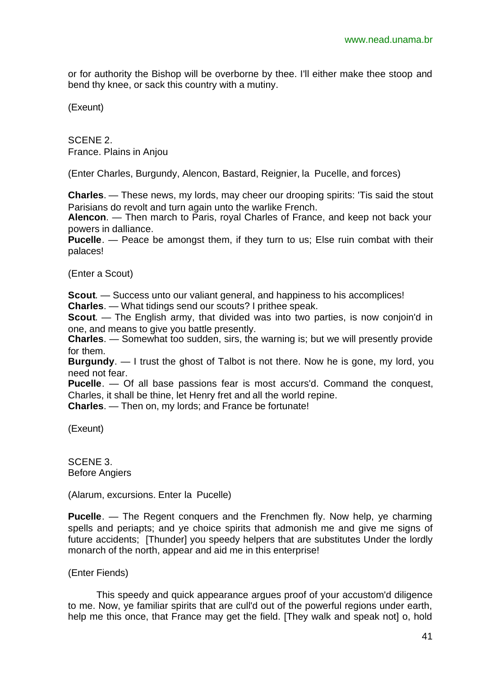or for authority the Bishop will be overborne by thee. I'll either make thee stoop and bend thy knee, or sack this country with a mutiny.

(Exeunt)

SCENE 2. France. Plains in Anjou

(Enter Charles, Burgundy, Alencon, Bastard, Reignier, la Pucelle, and forces)

**Charles**. — These news, my lords, may cheer our drooping spirits: 'Tis said the stout Parisians do revolt and turn again unto the warlike French.

**Alencon**. — Then march to Paris, royal Charles of France, and keep not back your powers in dalliance.

**Pucelle**. — Peace be amongst them, if they turn to us; Else ruin combat with their palaces!

(Enter a Scout)

**Scout**. — Success unto our valiant general, and happiness to his accomplices! **Charles**. — What tidings send our scouts? I prithee speak.

**Scout**. — The English army, that divided was into two parties, is now conjoin'd in one, and means to give you battle presently.

**Charles**. — Somewhat too sudden, sirs, the warning is; but we will presently provide for them.

**Burgundy**. — I trust the ghost of Talbot is not there. Now he is gone, my lord, you need not fear.

**Pucelle**. — Of all base passions fear is most accurs'd. Command the conquest, Charles, it shall be thine, let Henry fret and all the world repine.

**Charles**. — Then on, my lords; and France be fortunate!

(Exeunt)

SCENE 3. Before Angiers

(Alarum, excursions. Enter la Pucelle)

**Pucelle**. — The Regent conquers and the Frenchmen fly. Now help, ye charming spells and periapts; and ye choice spirits that admonish me and give me signs of future accidents; [Thunder] you speedy helpers that are substitutes Under the lordly monarch of the north, appear and aid me in this enterprise!

(Enter Fiends)

This speedy and quick appearance argues proof of your accustom'd diligence to me. Now, ye familiar spirits that are cull'd out of the powerful regions under earth, help me this once, that France may get the field. [They walk and speak not] o, hold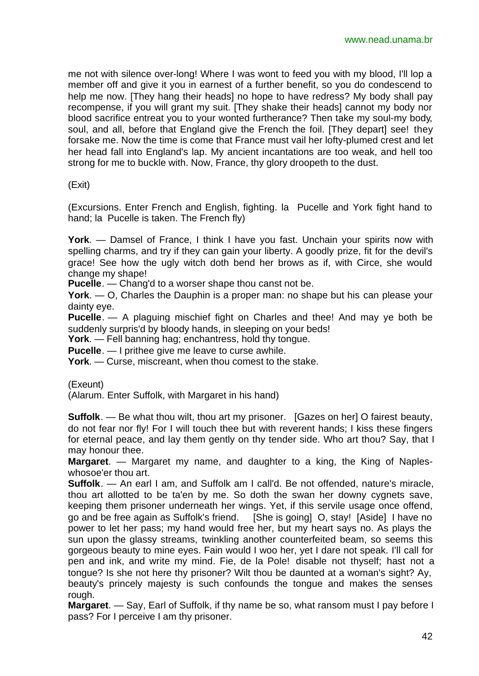me not with silence over-long! Where I was wont to feed you with my blood, I'll lop a member off and give it you in earnest of a further benefit, so you do condescend to help me now. [They hang their heads] no hope to have redress? My body shall pay recompense, if you will grant my suit. [They shake their heads] cannot my body nor blood sacrifice entreat you to your wonted furtherance? Then take my soul-my body, soul, and all, before that England give the French the foil. [They depart] see! they forsake me. Now the time is come that France must vail her lofty-plumed crest and let her head fall into England's lap. My ancient incantations are too weak, and hell too strong for me to buckle with. Now, France, thy glory droopeth to the dust.

(Exit)

(Excursions. Enter French and English, fighting. la Pucelle and York fight hand to hand; la Pucelle is taken. The French fly)

**York**. — Damsel of France, I think I have you fast. Unchain your spirits now with spelling charms, and try if they can gain your liberty. A goodly prize, fit for the devil's grace! See how the ugly witch doth bend her brows as if, with Circe, she would change my shape!

**Pucelle**. — Chang'd to a worser shape thou canst not be.

**York**. — O, Charles the Dauphin is a proper man: no shape but his can please your dainty eye.

**Pucelle**. — A plaguing mischief fight on Charles and thee! And may ye both be suddenly surpris'd by bloody hands, in sleeping on your beds!

**York**. — Fell banning hag; enchantress, hold thy tongue.

**Pucelle**. — I prithee give me leave to curse awhile.

**York**. — Curse, miscreant, when thou comest to the stake.

(Exeunt)

(Alarum. Enter Suffolk, with Margaret in his hand)

**Suffolk**. — Be what thou wilt, thou art my prisoner. [Gazes on her] O fairest beauty, do not fear nor fly! For I will touch thee but with reverent hands; I kiss these fingers for eternal peace, and lay them gently on thy tender side. Who art thou? Say, that I may honour thee.

**Margaret**. — Margaret my name, and daughter to a king, the King of Napleswhosoe'er thou art.

**Suffolk**. — An earl I am, and Suffolk am I call'd. Be not offended, nature's miracle, thou art allotted to be ta'en by me. So doth the swan her downy cygnets save, keeping them prisoner underneath her wings. Yet, if this servile usage once offend, go and be free again as Suffolk's friend. [She is going] O, stay! [Aside] I have no power to let her pass; my hand would free her, but my heart says no. As plays the sun upon the glassy streams, twinkling another counterfeited beam, so seems this gorgeous beauty to mine eyes. Fain would I woo her, yet I dare not speak. I'll call for pen and ink, and write my mind. Fie, de la Pole! disable not thyself; hast not a tongue? Is she not here thy prisoner? Wilt thou be daunted at a woman's sight? Ay, beauty's princely majesty is such confounds the tongue and makes the senses rough.

**Margaret**. — Say, Earl of Suffolk, if thy name be so, what ransom must I pay before I pass? For I perceive I am thy prisoner.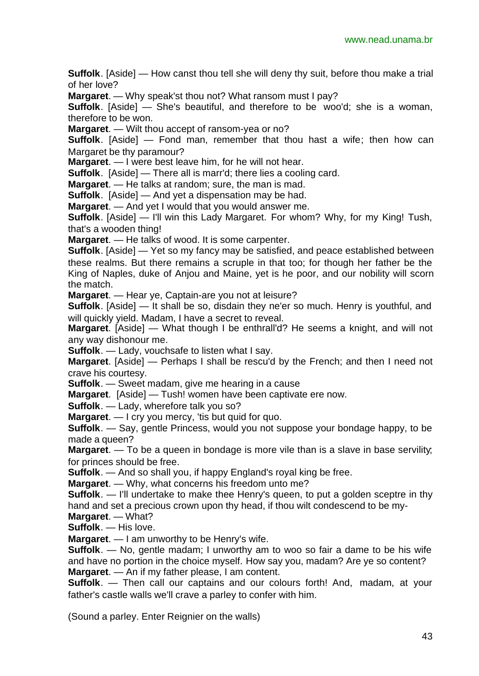**Suffolk**. [Aside] — How canst thou tell she will deny thy suit, before thou make a trial of her love?

**Margaret**. — Why speak'st thou not? What ransom must I pay?

**Suffolk**. [Aside] — She's beautiful, and therefore to be woo'd; she is a woman, therefore to be won.

**Margaret**. — Wilt thou accept of ransom-yea or no?

**Suffolk**. [Aside] — Fond man, remember that thou hast a wife; then how can Margaret be thy paramour?

**Margaret**. — I were best leave him, for he will not hear.

**Suffolk**. [Aside] — There all is marr'd; there lies a cooling card.

**Margaret**. — He talks at random; sure, the man is mad.

**Suffolk**. [Aside] — And yet a dispensation may be had.

**Margaret**. — And yet I would that you would answer me.

**Suffolk**. [Aside] — I'll win this Lady Margaret. For whom? Why, for my King! Tush, that's a wooden thing!

**Margaret**. — He talks of wood. It is some carpenter.

**Suffolk**. [Aside] — Yet so my fancy may be satisfied, and peace established between these realms. But there remains a scruple in that too; for though her father be the King of Naples, duke of Anjou and Maine, yet is he poor, and our nobility will scorn the match.

**Margaret**. — Hear ye, Captain-are you not at leisure?

**Suffolk**. [Aside] — It shall be so, disdain they ne'er so much. Henry is youthful, and will quickly yield. Madam, I have a secret to reveal.

**Margaret**. [Aside] — What though I be enthrall'd? He seems a knight, and will not any way dishonour me.

**Suffolk**. — Lady, vouchsafe to listen what I say.

**Margaret**. [Aside] — Perhaps I shall be rescu'd by the French; and then I need not crave his courtesy.

**Suffolk**. — Sweet madam, give me hearing in a cause

**Margaret**. [Aside] — Tush! women have been captivate ere now.

**Suffolk**. — Lady, wherefore talk you so?

**Margaret**. — I cry you mercy, 'tis but quid for quo.

**Suffolk**. — Say, gentle Princess, would you not suppose your bondage happy, to be made a queen?

**Margaret**. — To be a queen in bondage is more vile than is a slave in base servility; for princes should be free.

**Suffolk**. — And so shall you, if happy England's royal king be free.

**Margaret**. — Why, what concerns his freedom unto me?

**Suffolk**. — I'll undertake to make thee Henry's queen, to put a golden sceptre in thy hand and set a precious crown upon thy head, if thou wilt condescend to be my-

**Margaret**. — What? **Suffolk**. — His love.

**Margaret**. — I am unworthy to be Henry's wife.

**Suffolk**. — No, gentle madam; I unworthy am to woo so fair a dame to be his wife and have no portion in the choice myself. How say you, madam? Are ye so content? **Margaret**. — An if my father please, I am content.

**Suffolk**. — Then call our captains and our colours forth! And, madam, at your father's castle walls we'll crave a parley to confer with him.

(Sound a parley. Enter Reignier on the walls)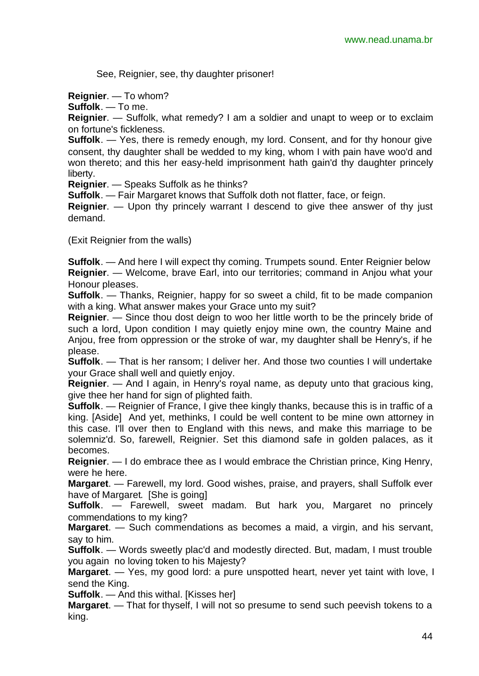See, Reignier, see, thy daughter prisoner!

**Reignier**. — To whom?

**Suffolk**. — To me.

**Reignier**. — Suffolk, what remedy? I am a soldier and unapt to weep or to exclaim on fortune's fickleness.

**Suffolk**. — Yes, there is remedy enough, my lord. Consent, and for thy honour give consent, thy daughter shall be wedded to my king, whom I with pain have woo'd and won thereto; and this her easy-held imprisonment hath gain'd thy daughter princely liberty.

**Reignier**. — Speaks Suffolk as he thinks?

**Suffolk**. — Fair Margaret knows that Suffolk doth not flatter, face, or feign.

**Reignier**. — Upon thy princely warrant I descend to give thee answer of thy just demand.

(Exit Reignier from the walls)

**Suffolk.** — And here I will expect thy coming. Trumpets sound. Enter Reignier below **Reignier**. — Welcome, brave Earl, into our territories; command in Anjou what your Honour pleases.

**Suffolk**. — Thanks, Reignier, happy for so sweet a child, fit to be made companion with a king. What answer makes your Grace unto my suit?

**Reignier**. — Since thou dost deign to woo her little worth to be the princely bride of such a lord, Upon condition I may quietly enjoy mine own, the country Maine and Anjou, free from oppression or the stroke of war, my daughter shall be Henry's, if he please.

**Suffolk**. — That is her ransom; I deliver her. And those two counties I will undertake your Grace shall well and quietly enjoy.

**Reignier**. — And I again, in Henry's royal name, as deputy unto that gracious king, give thee her hand for sign of plighted faith.

**Suffolk**. — Reignier of France, I give thee kingly thanks, because this is in traffic of a king. [Aside] And yet, methinks, I could be well content to be mine own attorney in this case. I'll over then to England with this news, and make this marriage to be solemniz'd. So, farewell, Reignier. Set this diamond safe in golden palaces, as it becomes.

**Reignier**. — I do embrace thee as I would embrace the Christian prince, King Henry, were he here.

**Margaret**. — Farewell, my lord. Good wishes, praise, and prayers, shall Suffolk ever have of Margaret. [She is going]

**Suffolk**. — Farewell, sweet madam. But hark you, Margaret no princely commendations to my king?

**Margaret**. — Such commendations as becomes a maid, a virgin, and his servant, say to him.

**Suffolk**. — Words sweetly plac'd and modestly directed. But, madam, I must trouble you again no loving token to his Majesty?

**Margaret**. — Yes, my good lord: a pure unspotted heart, never yet taint with love, I send the King.

**Suffolk**. — And this withal. [Kisses her]

**Margaret**. — That for thyself, I will not so presume to send such peevish tokens to a king.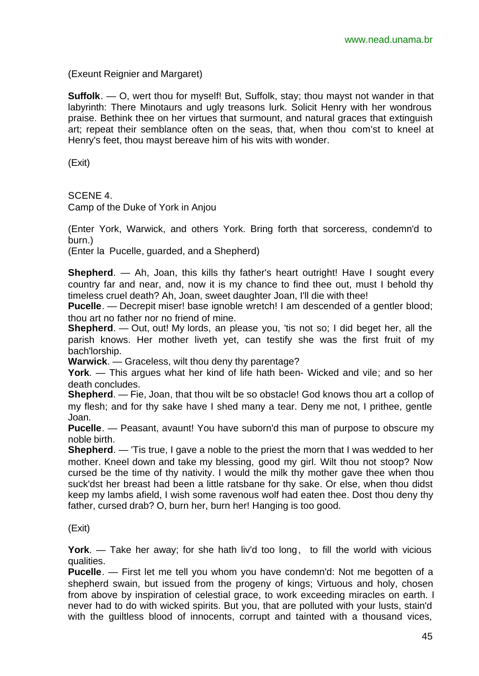(Exeunt Reignier and Margaret)

**Suffolk.** — O, wert thou for myself! But, Suffolk, stay; thou mayst not wander in that labyrinth: There Minotaurs and ugly treasons lurk. Solicit Henry with her wondrous praise. Bethink thee on her virtues that surmount, and natural graces that extinguish art; repeat their semblance often on the seas, that, when thou com'st to kneel at Henry's feet, thou mayst bereave him of his wits with wonder.

(Exit)

SCENE 4.

Camp of the Duke of York in Anjou

(Enter York, Warwick, and others York. Bring forth that sorceress, condemn'd to burn.)

(Enter la Pucelle, guarded, and a Shepherd)

**Shepherd.** — Ah, Joan, this kills thy father's heart outright! Have I sought every country far and near, and, now it is my chance to find thee out, must I behold thy timeless cruel death? Ah, Joan, sweet daughter Joan, I'll die with thee!

**Pucelle**. — Decrepit miser! base ignoble wretch! I am descended of a gentler blood; thou art no father nor no friend of mine.

**Shepherd**. — Out, out! My lords, an please you, 'tis not so; I did beget her, all the parish knows. Her mother liveth yet, can testify she was the first fruit of my bach'lorship.

**Warwick**. — Graceless, wilt thou deny thy parentage?

**York**. — This argues what her kind of life hath been- Wicked and vile; and so her death concludes.

**Shepherd**. — Fie, Joan, that thou wilt be so obstacle! God knows thou art a collop of my flesh; and for thy sake have I shed many a tear. Deny me not, I prithee, gentle Joan.

**Pucelle**. — Peasant, avaunt! You have suborn'd this man of purpose to obscure my noble birth.

**Shepherd**. — 'Tis true, I gave a noble to the priest the morn that I was wedded to her mother. Kneel down and take my blessing, good my girl. Wilt thou not stoop? Now cursed be the time of thy nativity. I would the milk thy mother gave thee when thou suck'dst her breast had been a little ratsbane for thy sake. Or else, when thou didst keep my lambs afield, I wish some ravenous wolf had eaten thee. Dost thou deny thy father, cursed drab? O, burn her, burn her! Hanging is too good.

(Exit)

**York**. — Take her away; for she hath liv'd too long, to fill the world with vicious qualities.

**Pucelle**. — First let me tell you whom you have condemn'd: Not me begotten of a shepherd swain, but issued from the progeny of kings; Virtuous and holy, chosen from above by inspiration of celestial grace, to work exceeding miracles on earth. I never had to do with wicked spirits. But you, that are polluted with your lusts, stain'd with the guiltless blood of innocents, corrupt and tainted with a thousand vices,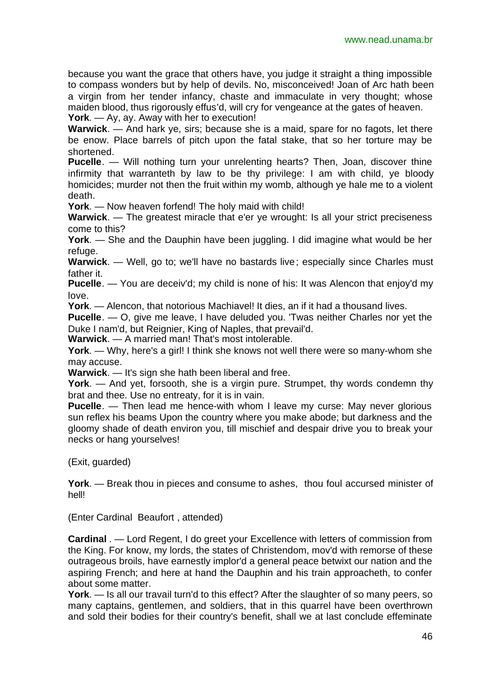because you want the grace that others have, you judge it straight a thing impossible to compass wonders but by help of devils. No, misconceived! Joan of Arc hath been a virgin from her tender infancy, chaste and immaculate in very thought; whose maiden blood, thus rigorously effus'd, will cry for vengeance at the gates of heaven. **York**. — Ay, ay. Away with her to execution!

**Warwick**. — And hark ye, sirs; because she is a maid, spare for no fagots, let there be enow. Place barrels of pitch upon the fatal stake, that so her torture may be shortened.

**Pucelle**. — Will nothing turn your unrelenting hearts? Then, Joan, discover thine infirmity that warranteth by law to be thy privilege: I am with child, ye bloody homicides; murder not then the fruit within my womb, although ye hale me to a violent death.

**York**. — Now heaven forfend! The holy maid with child!

**Warwick**. — The greatest miracle that e'er ye wrought: Is all your strict preciseness come to this?

**York**. — She and the Dauphin have been juggling. I did imagine what would be her refuge.

**Warwick**. — Well, go to; we'll have no bastards live; especially since Charles must father it.

**Pucelle**. — You are deceiv'd; my child is none of his: It was Alencon that enjoy'd my love.

**York**. — Alencon, that notorious Machiavel! It dies, an if it had a thousand lives.

**Pucelle**. — O, give me leave, I have deluded you. 'Twas neither Charles nor yet the Duke I nam'd, but Reignier, King of Naples, that prevail'd.

**Warwick**. — A married man! That's most intolerable.

**York**. — Why, here's a girl! I think she knows not well there were so many-whom she may accuse.

**Warwick**. — It's sign she hath been liberal and free.

**York**. — And yet, forsooth, she is a virgin pure. Strumpet, thy words condemn thy brat and thee. Use no entreaty, for it is in vain.

**Pucelle**. — Then lead me hence-with whom I leave my curse: May never glorious sun reflex his beams Upon the country where you make abode; but darkness and the gloomy shade of death environ you, till mischief and despair drive you to break your necks or hang yourselves!

(Exit, guarded)

**York**. — Break thou in pieces and consume to ashes, thou foul accursed minister of hell!

(Enter Cardinal Beaufort , attended)

**Cardinal** . — Lord Regent, I do greet your Excellence with letters of commission from the King. For know, my lords, the states of Christendom, mov'd with remorse of these outrageous broils, have earnestly implor'd a general peace betwixt our nation and the aspiring French; and here at hand the Dauphin and his train approacheth, to confer about some matter.

**York**. — Is all our travail turn'd to this effect? After the slaughter of so many peers, so many captains, gentlemen, and soldiers, that in this quarrel have been overthrown and sold their bodies for their country's benefit, shall we at last conclude effeminate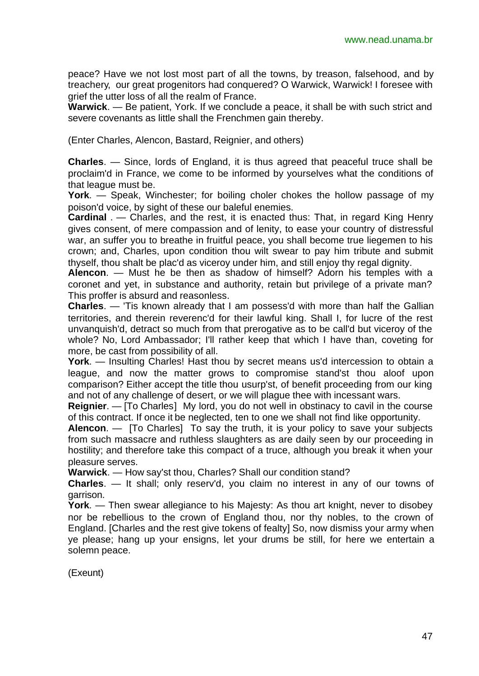peace? Have we not lost most part of all the towns, by treason, falsehood, and by treachery, our great progenitors had conquered? O Warwick, Warwick! I foresee with grief the utter loss of all the realm of France.

**Warwick**. — Be patient, York. If we conclude a peace, it shall be with such strict and severe covenants as little shall the Frenchmen gain thereby.

(Enter Charles, Alencon, Bastard, Reignier, and others)

**Charles**. — Since, lords of England, it is thus agreed that peaceful truce shall be proclaim'd in France, we come to be informed by yourselves what the conditions of that league must be.

**York**. — Speak, Winchester; for boiling choler chokes the hollow passage of my poison'd voice, by sight of these our baleful enemies.

**Cardinal** . — Charles, and the rest, it is enacted thus: That, in regard King Henry gives consent, of mere compassion and of lenity, to ease your country of distressful war, an suffer you to breathe in fruitful peace, you shall become true liegemen to his crown; and, Charles, upon condition thou wilt swear to pay him tribute and submit thyself, thou shalt be plac'd as viceroy under him, and still enjoy thy regal dignity.

**Alencon**. — Must he be then as shadow of himself? Adorn his temples with a coronet and yet, in substance and authority, retain but privilege of a private man? This proffer is absurd and reasonless.

**Charles**. — 'Tis known already that I am possess'd with more than half the Gallian territories, and therein reverenc'd for their lawful king. Shall I, for lucre of the rest unvanquish'd, detract so much from that prerogative as to be call'd but viceroy of the whole? No, Lord Ambassador; I'll rather keep that which I have than, coveting for more, be cast from possibility of all.

**York**. — Insulting Charles! Hast thou by secret means us'd intercession to obtain a league, and now the matter grows to compromise stand'st thou aloof upon comparison? Either accept the title thou usurp'st, of benefit proceeding from our king and not of any challenge of desert, or we will plague thee with incessant wars.

**Reignier**. — [To Charles] My lord, you do not well in obstinacy to cavil in the course of this contract. If once it be neglected, ten to one we shall not find like opportunity.

**Alencon**. — [To Charles] To say the truth, it is your policy to save your subjects from such massacre and ruthless slaughters as are daily seen by our proceeding in hostility; and therefore take this compact of a truce, although you break it when your pleasure serves.

**Warwick**. — How say'st thou, Charles? Shall our condition stand?

**Charles**. — It shall; only reserv'd, you claim no interest in any of our towns of garrison.

**York**. — Then swear allegiance to his Majesty: As thou art knight, never to disobey nor be rebellious to the crown of England thou, nor thy nobles, to the crown of England. [Charles and the rest give tokens of fealty] So, now dismiss your army when ye please; hang up your ensigns, let your drums be still, for here we entertain a solemn peace.

(Exeunt)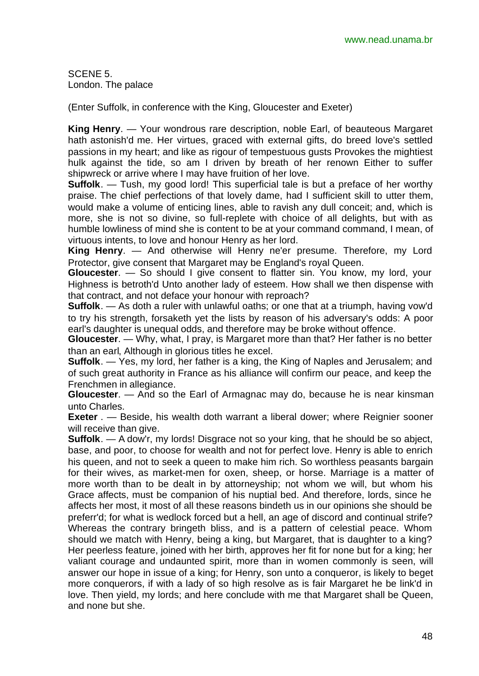SCENE 5. London. The palace

(Enter Suffolk, in conference with the King, Gloucester and Exeter)

**King Henry**. — Your wondrous rare description, noble Earl, of beauteous Margaret hath astonish'd me. Her virtues, graced with external gifts, do breed love's settled passions in my heart; and like as rigour of tempestuous gusts Provokes the mightiest hulk against the tide, so am I driven by breath of her renown Either to suffer shipwreck or arrive where I may have fruition of her love.

**Suffolk**. — Tush, my good lord! This superficial tale is but a preface of her worthy praise. The chief perfections of that lovely dame, had I sufficient skill to utter them, would make a volume of enticing lines, able to ravish any dull conceit; and, which is more, she is not so divine, so full-replete with choice of all delights, but with as humble lowliness of mind she is content to be at your command command, I mean, of virtuous intents, to love and honour Henry as her lord.

**King Henry**. — And otherwise will Henry ne'er presume. Therefore, my Lord Protector, give consent that Margaret may be England's royal Queen.

**Gloucester**. — So should I give consent to flatter sin. You know, my lord, your Highness is betroth'd Unto another lady of esteem. How shall we then dispense with that contract, and not deface your honour with reproach?

**Suffolk**. — As doth a ruler with unlawful oaths; or one that at a triumph, having vow'd to try his strength, forsaketh yet the lists by reason of his adversary's odds: A poor earl's daughter is unequal odds, and therefore may be broke without offence.

**Gloucester**. — Why, what, I pray, is Margaret more than that? Her father is no better than an earl, Although in glorious titles he excel.

**Suffolk**. — Yes, my lord, her father is a king, the King of Naples and Jerusalem; and of such great authority in France as his alliance will confirm our peace, and keep the Frenchmen in allegiance.

**Gloucester**. — And so the Earl of Armagnac may do, because he is near kinsman unto Charles.

**Exeter** . — Beside, his wealth doth warrant a liberal dower; where Reignier sooner will receive than give.

**Suffolk**. — A dow'r, my lords! Disgrace not so your king, that he should be so abject, base, and poor, to choose for wealth and not for perfect love. Henry is able to enrich his queen, and not to seek a queen to make him rich. So worthless peasants bargain for their wives, as market-men for oxen, sheep, or horse. Marriage is a matter of more worth than to be dealt in by attorneyship; not whom we will, but whom his Grace affects, must be companion of his nuptial bed. And therefore, lords, since he affects her most, it most of all these reasons bindeth us in our opinions she should be preferr'd; for what is wedlock forced but a hell, an age of discord and continual strife? Whereas the contrary bringeth bliss, and is a pattern of celestial peace. Whom should we match with Henry, being a king, but Margaret, that is daughter to a king? Her peerless feature, joined with her birth, approves her fit for none but for a king; her valiant courage and undaunted spirit, more than in women commonly is seen, will answer our hope in issue of a king; for Henry, son unto a conqueror, is likely to beget more conquerors, if with a lady of so high resolve as is fair Margaret he be link'd in love. Then yield, my lords; and here conclude with me that Margaret shall be Queen, and none but she.